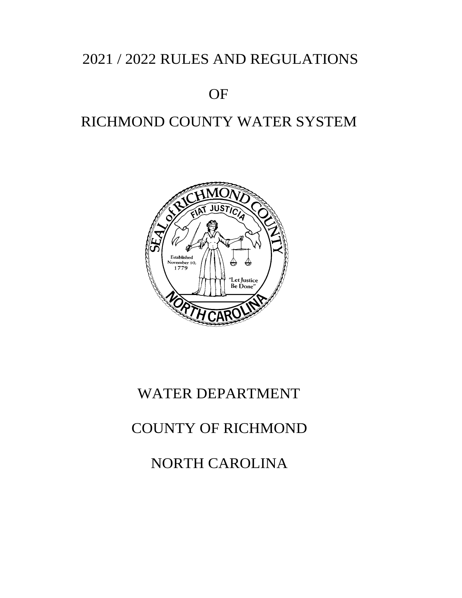# 2021 / 2022 RULES AND REGULATIONS

# OF

# RICHMOND COUNTY WATER SYSTEM



# WATER DEPARTMENT

# COUNTY OF RICHMOND

NORTH CAROLINA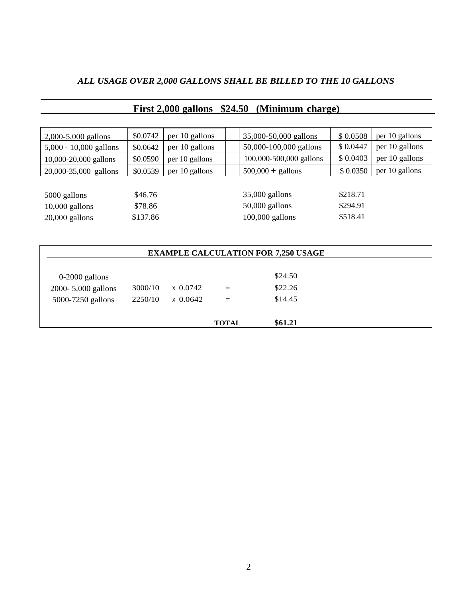# *ALL USAGE OVER 2,000 GALLONS SHALL BE BILLED TO THE 10 GALLONS*

| 2,000-5,000 gallons                        | \$0.0742 | per 10 gallons | 35,000-50,000 gallons   | \$0.0508 | per 10 gallons |  |  |
|--------------------------------------------|----------|----------------|-------------------------|----------|----------------|--|--|
| $5,000 - 10,000$ gallons                   | \$0.0642 | per 10 gallons | 50,000-100,000 gallons  | \$0.0447 | per 10 gallons |  |  |
| 10,000-20,000 gallons                      | \$0.0590 | per 10 gallons | 100,000-500,000 gallons | \$0.0403 | per 10 gallons |  |  |
| 20,000-35,000 gallons                      | \$0.0539 | per 10 gallons | $500,000 +$ gallons     | \$0.0350 | per 10 gallons |  |  |
|                                            |          |                |                         |          |                |  |  |
| 5000 gallons                               | \$46.76  |                | $35,000$ gallons        | \$218.71 |                |  |  |
| $10,000$ gallons                           | \$78.86  |                | $50,000$ gallons        | \$294.91 |                |  |  |
| $20,000$ gallons                           | \$137.86 |                | $100,000$ gallons       | \$518.41 |                |  |  |
|                                            |          |                |                         |          |                |  |  |
|                                            |          |                |                         |          |                |  |  |
| <b>EXAMPLE CALCULATION FOR 7,250 USAGE</b> |          |                |                         |          |                |  |  |
|                                            |          |                |                         |          |                |  |  |

# **First 2,000 gallons \$24.50 (Minimum charge)**

| <b>EXAMPLE CALCULATION FOR 7,250 USAGE</b> |         |                 |              |         |  |
|--------------------------------------------|---------|-----------------|--------------|---------|--|
|                                            |         |                 |              |         |  |
| $0-2000$ gallons                           |         |                 |              | \$24.50 |  |
| 2000-5,000 gallons                         | 3000/10 | $\times 0.0742$ | $=$          | \$22.26 |  |
| 5000-7250 gallons                          | 2250/10 | $x\,0.0642$     | $=$          | \$14.45 |  |
|                                            |         |                 | <b>TOTAL</b> | \$61.21 |  |
|                                            |         |                 |              |         |  |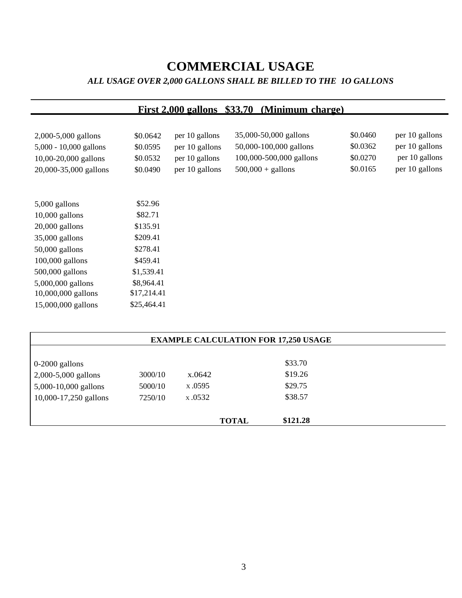# **COMMERCIAL USAGE** *ALL USAGE OVER 2,000 GALLONS SHALL BE BILLED TO THE 1O GALLONS*

| <b>First 2,000 gallons \$33.70</b><br>(Minimum charge) |             |                |                         |          |                |  |  |
|--------------------------------------------------------|-------------|----------------|-------------------------|----------|----------------|--|--|
|                                                        |             |                |                         |          |                |  |  |
| 2,000-5,000 gallons                                    | \$0.0642    | per 10 gallons | 35,000-50,000 gallons   | \$0.0460 | per 10 gallons |  |  |
| 5,000 - 10,000 gallons                                 | \$0.0595    | per 10 gallons | 50,000-100,000 gallons  | \$0.0362 | per 10 gallons |  |  |
| 10,00-20,000 gallons                                   | \$0.0532    | per 10 gallons | 100,000-500,000 gallons | \$0.0270 | per 10 gallons |  |  |
| 20,000-35,000 gallons                                  | \$0.0490    | per 10 gallons | $500,000 +$ gallons     | \$0.0165 | per 10 gallons |  |  |
|                                                        |             |                |                         |          |                |  |  |
|                                                        |             |                |                         |          |                |  |  |
| $5,000$ gallons                                        | \$52.96     |                |                         |          |                |  |  |
| 10,000 gallons                                         | \$82.71     |                |                         |          |                |  |  |
| $20,000$ gallons                                       | \$135.91    |                |                         |          |                |  |  |
| 35,000 gallons                                         | \$209.41    |                |                         |          |                |  |  |
| $50,000$ gallons                                       | \$278.41    |                |                         |          |                |  |  |
| $100,000$ gallons                                      | \$459.41    |                |                         |          |                |  |  |
| 500,000 gallons                                        | \$1,539.41  |                |                         |          |                |  |  |
| 5,000,000 gallons                                      | \$8,964.41  |                |                         |          |                |  |  |
| 10,000,000 gallons                                     | \$17,214.41 |                |                         |          |                |  |  |
| 15,000,000 gallons                                     | \$25,464.41 |                |                         |          |                |  |  |

| <b>EXAMPLE CALCULATION FOR 17,250 USAGE</b> |        |              |          |         |  |
|---------------------------------------------|--------|--------------|----------|---------|--|
|                                             |        |              |          |         |  |
| 3000/10                                     | x.0642 |              | \$19.26  |         |  |
| 5000/10                                     | x.0595 |              | \$29.75  |         |  |
| 7250/10                                     | x.0532 |              | \$38.57  |         |  |
|                                             |        | <b>TOTAL</b> | \$121.28 |         |  |
|                                             |        |              |          | \$33.70 |  |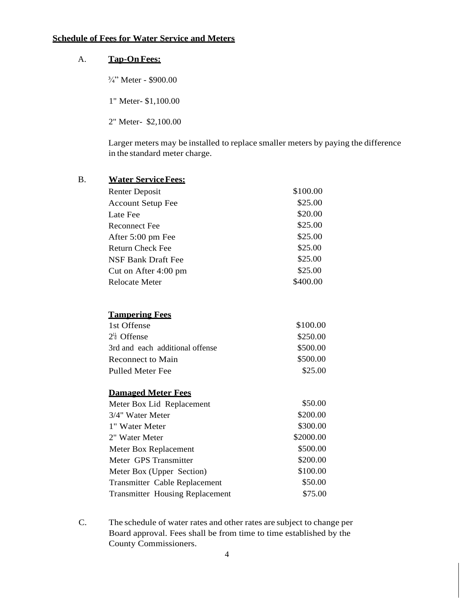# **Schedule of Fees for Water Service and Meters**

# A. **Tap-OnFees:**

<sup>3</sup>/<sub>4</sub>" Meter - \$900.00

1" Meter- \$1,100.00

2" Meter- \$2,100.00

Larger meters may be installed to replace smaller meters by paying the difference in the standard meter charge.

| B. | <b>Water Service Fees:</b>             |           |
|----|----------------------------------------|-----------|
|    | <b>Renter Deposit</b>                  | \$100.00  |
|    | <b>Account Setup Fee</b>               | \$25.00   |
|    | Late Fee                               | \$20.00   |
|    | <b>Reconnect Fee</b>                   | \$25.00   |
|    | After 5:00 pm Fee                      | \$25.00   |
|    | <b>Return Check Fee</b>                | \$25.00   |
|    | <b>NSF Bank Draft Fee</b>              | \$25.00   |
|    | Cut on After 4:00 pm                   | \$25.00   |
|    | <b>Relocate Meter</b>                  | \$400.00  |
|    | <b>Tampering Fees</b>                  |           |
|    | 1st Offense                            | \$100.00  |
|    | $2^{\frac{1}{6}}$ Offense              | \$250.00  |
|    | 3rd and each additional offense        | \$500.00  |
|    | <b>Reconnect to Main</b>               | \$500.00  |
|    | <b>Pulled Meter Fee</b>                | \$25.00   |
|    | <b>Damaged Meter Fees</b>              |           |
|    | Meter Box Lid Replacement              | \$50.00   |
|    | 3/4" Water Meter                       | \$200.00  |
|    | 1" Water Meter                         | \$300.00  |
|    | 2" Water Meter                         | \$2000.00 |
|    | Meter Box Replacement                  | \$500.00  |
|    | Meter GPS Transmitter                  | \$200.00  |
|    | Meter Box (Upper Section)              | \$100.00  |
|    | Transmitter Cable Replacement          | \$50.00   |
|    | <b>Transmitter Housing Replacement</b> | \$75.00   |
|    |                                        |           |

C. The schedule of water rates and other rates are subject to change per Board approval. Fees shall be from time to time established by the County Commissioners.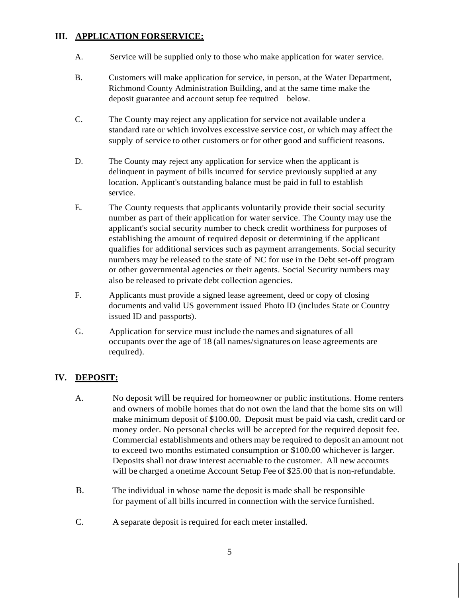#### **III. APPLICATION FORSERVICE:**

- A. Service will be supplied only to those who make application for water service.
- B. Customers will make application for service, in person, at the Water Department, Richmond County Administration Building, and at the same time make the deposit guarantee and account setup fee required below.
- C. The County may reject any application for service not available under a standard rate or which involves excessive service cost, or which may affect the supply of service to other customers or for other good and sufficient reasons.
- D. The County may reject any application for service when the applicant is delinquent in payment of bills incurred for service previously supplied at any location. Applicant's outstanding balance must be paid in full to establish service.
- E. The County requests that applicants voluntarily provide their social security number as part of their application for water service. The County may use the applicant's social security number to check credit worthiness for purposes of establishing the amount of required deposit or determining if the applicant qualifies for additional services such as payment arrangements. Social security numbers may be released to the state of NC for use in the Debt set-off program or other governmental agencies or their agents. Social Security numbers may also be released to private debt collection agencies.
- F. Applicants must provide a signed lease agreement, deed or copy of closing documents and valid US government issued Photo ID (includes State or Country issued ID and passports).
- G. Application for service must include the names and signatures of all occupants over the age of 18 (all names/signatures on lease agreements are required).

### **IV. DEPOSIT:**

- A. No deposit will be required for homeowner or public institutions. Home renters and owners of mobile homes that do not own the land that the home sits on will make minimum deposit of \$100.00. Deposit must be paid via cash, credit card or money order. No personal checks will be accepted for the required deposit fee. Commercial establishments and others may be required to deposit an amount not to exceed two months estimated consumption or \$100.00 whichever is larger. Deposits shall not draw interest accruable to the customer. All new accounts will be charged a onetime Account Setup Fee of \$25.00 that is non-refundable.
- B. The individual in whose name the deposit is made shall be responsible for payment of all bills incurred in connection with the service furnished.
- C. A separate deposit is required for each meter installed.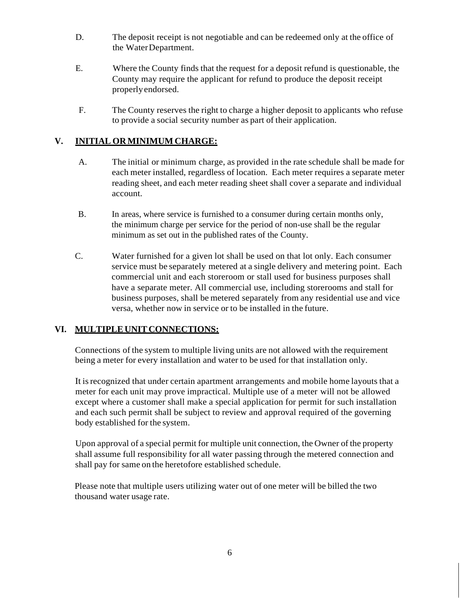- D. The deposit receipt is not negotiable and can be redeemed only at the office of the WaterDepartment.
- E. Where the County finds that the request for a deposit refund is questionable, the County may require the applicant for refund to produce the deposit receipt properlyendorsed.
- F. The County reserves the right to charge a higher deposit to applicants who refuse to provide a social security number as part of their application.

# **V. INITIAL ORMINIMUM CHARGE:**

- A. The initial or minimum charge, as provided in the rate schedule shall be made for each meter installed, regardless of location. Each meter requires a separate meter reading sheet, and each meter reading sheet shall cover a separate and individual account.
- B. In areas, where service is furnished to a consumer during certain months only, the minimum charge per service for the period of non-use shall be the regular minimum as set out in the published rates of the County.
- C. Water furnished for a given lot shall be used on that lot only. Each consumer service must be separately metered at a single delivery and metering point. Each commercial unit and each storeroom or stall used for business purposes shall have a separate meter. All commercial use, including storerooms and stall for business purposes, shall be metered separately from any residential use and vice versa, whether now in service or to be installed in the future.

### **VI. MULTIPLE UNIT CONNECTIONS:**

Connections of the system to multiple living units are not allowed with the requirement being a meter for every installation and water to be used for that installation only.

It isrecognized that under certain apartment arrangements and mobile home layouts that a meter for each unit may prove impractical. Multiple use of a meter will not be allowed except where a customer shall make a special application for permit for such installation and each such permit shall be subject to review and approval required of the governing body established for the system.

Upon approval of a special permit for multiple unit connection, the Owner of the property shall assume full responsibility for all water passing through the metered connection and shall pay for same on the heretofore established schedule.

Please note that multiple users utilizing water out of one meter will be billed the two thousand water usage rate.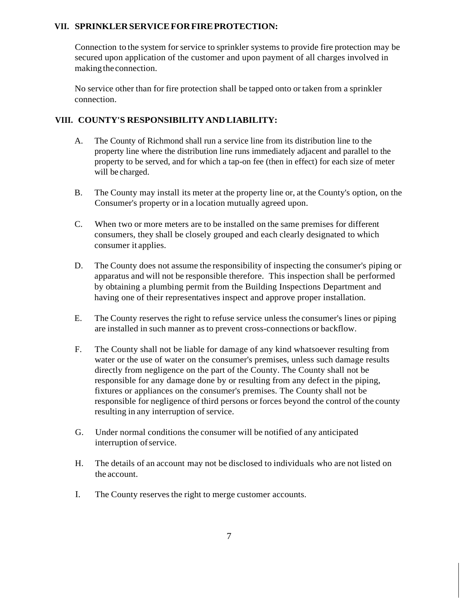#### **VII. SPRINKLERSERVICEFORFIREPROTECTION:**

Connection to the system for service to sprinkler systems to provide fire protection may be secured upon application of the customer and upon payment of all charges involved in making the connection.

No service other than for fire protection shall be tapped onto or taken from a sprinkler connection.

#### **VIII. COUNTY'S RESPONSIBILITYANDLIABILITY:**

- A. The County of Richmond shall run a service line from its distribution line to the property line where the distribution line runs immediately adjacent and parallel to the property to be served, and for which a tap-on fee (then in effect) for each size of meter will be charged.
- B. The County may install its meter at the property line or, at the County's option, on the Consumer's property or in a location mutually agreed upon.
- C. When two or more meters are to be installed on the same premises for different consumers, they shall be closely grouped and each clearly designated to which consumer it applies.
- D. The County does not assume the responsibility of inspecting the consumer's piping or apparatus and will not be responsible therefore. This inspection shall be performed by obtaining a plumbing permit from the Building Inspections Department and having one of their representatives inspect and approve proper installation.
- E. The County reserves the right to refuse service unless the consumer's lines or piping are installed in such manner as to prevent cross-connections or backflow.
- F. The County shall not be liable for damage of any kind whatsoever resulting from water or the use of water on the consumer's premises, unless such damage results directly from negligence on the part of the County. The County shall not be responsible for any damage done by or resulting from any defect in the piping, fixtures or appliances on the consumer's premises. The County shall not be responsible for negligence ofthird persons or forces beyond the control of the county resulting in any interruption of service.
- G. Under normal conditions the consumer will be notified of any anticipated interruption of service.
- H. The details of an account may not be disclosed to individuals who are not listed on the account.
- I. The County reserves the right to merge customer accounts.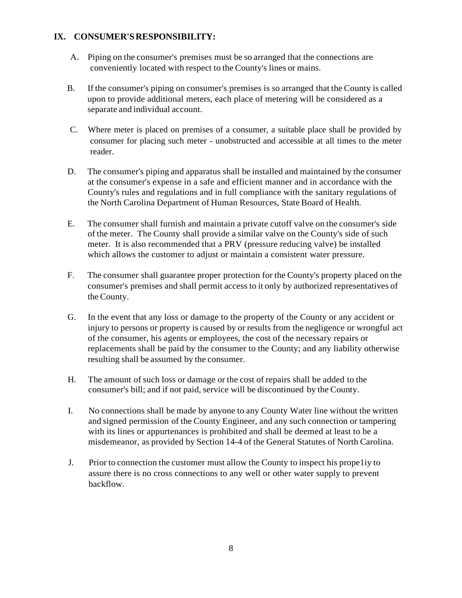#### **IX. CONSUMER'SRESPONSIBILITY:**

- A. Piping on the consumer's premises must be so arranged that the connections are conveniently located with respect to the County's lines or mains.
- B. If the consumer's piping on consumer's premises is so arranged that the County is called upon to provide additional meters, each place of metering will be considered as a separate and individual account.
- C. Where meter is placed on premises of a consumer, a suitable place shall be provided by consumer for placing such meter - unobstructed and accessible at all times to the meter reader.
- D. The consumer's piping and apparatus shall be installed and maintained by the consumer at the consumer's expense in a safe and efficient manner and in accordance with the County's rules and regulations and in full compliance with the sanitary regulations of the North Carolina Department of Human Resources, State Board of Health.
- E. The consumer shall furnish and maintain a private cutoff valve on the consumer's side of the meter. The County shall provide a similar valve on the County's side of such meter. It is also recommended that a PRV (pressure reducing valve) be installed which allows the customer to adjust or maintain a consistent water pressure.
- F. The consumer shall guarantee proper protection for the County's property placed on the consumer's premises and shall permit access to it only by authorized representatives of the County.
- G. In the event that any loss or damage to the property of the County or any accident or injury to persons or property is caused by or results from the negligence or wrongful act of the consumer, his agents or employees, the cost of the necessary repairs or replacements shall be paid by the consumer to the County; and any liability otherwise resulting shall be assumed by the consumer.
- H. The amount of such loss or damage or the cost of repairs shall be added to the consumer's bill; and if not paid, service will be discontinued by the County.
- I. No connections shall be made by anyone to any County Water line without the written and signed permission of the County Engineer, and any such connection or tampering with its lines or appurtenances is prohibited and shall be deemed at least to be a misdemeanor, as provided by Section 14-4 of the General Statutes of North Carolina.
- J. Prior to connection the customer must allow the County to inspect his prope1iy to assure there is no cross connections to any well or other water supply to prevent backflow.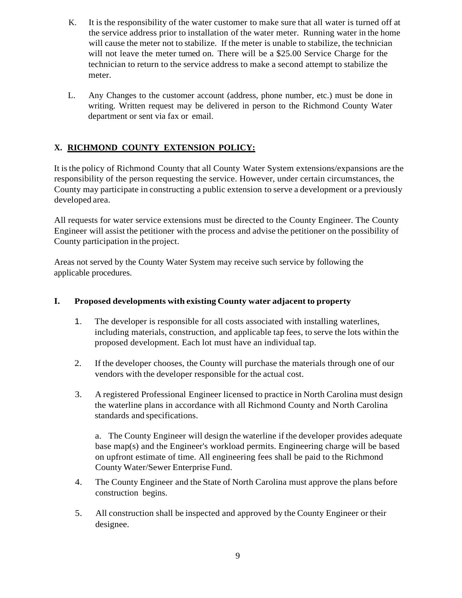- K. It is the responsibility of the water customer to make sure that all water is turned off at the service address prior to installation of the water meter. Running water in the home will cause the meter not to stabilize. If the meter is unable to stabilize, the technician will not leave the meter turned on. There will be a \$25.00 Service Charge for the technician to return to the service address to make a second attempt to stabilize the meter.
- L. Any Changes to the customer account (address, phone number, etc.) must be done in writing. Written request may be delivered in person to the Richmond County Water department or sent via fax or email.

# **X. RICHMOND COUNTY EXTENSION POLICY:**

It isthe policy of Richmond County that all County Water System extensions/expansions are the responsibility of the person requesting the service. However, under certain circumstances, the County may participate in constructing a public extension to serve a development or a previously developed area.

All requests for water service extensions must be directed to the County Engineer. The County Engineer will assist the petitioner with the process and advise the petitioner on the possibility of County participation in the project.

Areas not served by the County Water System may receive such service by following the applicable procedures.

#### **I. Proposed developments with existing County water adjacent to property**

- 1. The developer is responsible for all costs associated with installing waterlines, including materials, construction, and applicable tap fees, to serve the lots within the proposed development. Each lot must have an individual tap.
- 2. If the developer chooses, the County will purchase the materials through one of our vendors with the developer responsible for the actual cost.
- 3. A registered Professional Engineer licensed to practice in North Carolina must design the waterline plans in accordance with all Richmond County and North Carolina standards and specifications.

a. The County Engineer will design the waterline if the developer provides adequate base map(s) and the Engineer's workload permits. Engineering charge will be based on upfront estimate of time. All engineering fees shall be paid to the Richmond County Water/Sewer Enterprise Fund.

- 4. The County Engineer and the State of North Carolina must approve the plans before construction begins.
- 5. All construction shall be inspected and approved by the County Engineer or their designee.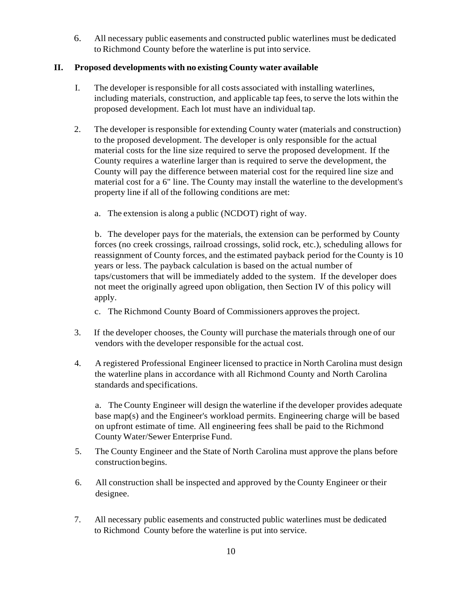6. All necessary public easements and constructed public waterlines must be dedicated to Richmond County before the waterline is put into service.

#### **II. Proposed developments with no existing County water available**

- I. The developer isresponsible for all costs associated with installing waterlines, including materials, construction, and applicable tap fees, to serve the lots within the proposed development. Each lot must have an individual tap.
- 2. The developer is responsible for extending County water (materials and construction) to the proposed development. The developer is only responsible for the actual material costs for the line size required to serve the proposed development. If the County requires a waterline larger than is required to serve the development, the County will pay the difference between material cost for the required line size and material cost for a 6" line. The County may install the waterline to the development's property line if all of the following conditions are met:
	- a. The extension is along a public (NCDOT) right of way.

b. The developer pays for the materials, the extension can be performed by County forces (no creek crossings, railroad crossings, solid rock, etc.), scheduling allows for reassignment of County forces, and the estimated payback period for the County is 10 years or less. The payback calculation is based on the actual number of taps/customers that will be immediately added to the system. If the developer does not meet the originally agreed upon obligation, then Section IV of this policy will apply.

- c. The Richmond County Board of Commissioners approves the project.
- 3. If the developer chooses, the County will purchase the materials through one of our vendors with the developer responsible for the actual cost.
- 4. A registered Professional Engineer licensed to practice in North Carolina must design the waterline plans in accordance with all Richmond County and North Carolina standards and specifications.

a. The County Engineer will design the waterline if the developer provides adequate base map(s) and the Engineer's workload permits. Engineering charge will be based on upfront estimate of time. All engineering fees shall be paid to the Richmond County Water/Sewer Enterprise Fund.

- 5. The County Engineer and the State of North Carolina must approve the plans before construction begins.
- 6. All construction shall be inspected and approved by the County Engineer or their designee.
- 7. All necessary public easements and constructed public waterlines must be dedicated to Richmond County before the waterline is put into service.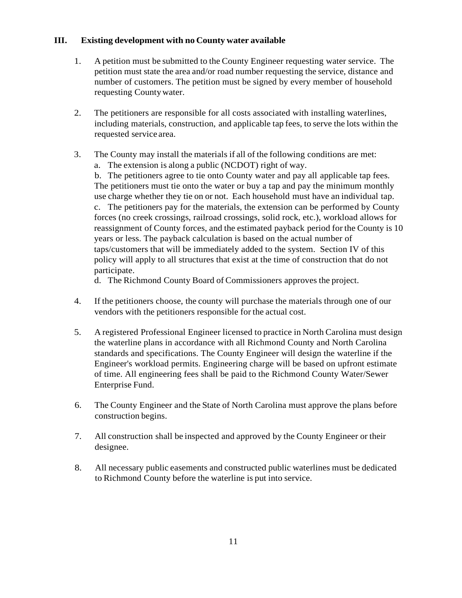#### **III. Existing development with no County water available**

- 1. A petition must be submitted to the County Engineer requesting water service. The petition must state the area and/or road number requesting the service, distance and number of customers. The petition must be signed by every member of household requesting Countywater.
- 2. The petitioners are responsible for all costs associated with installing waterlines, including materials, construction, and applicable tap fees, to serve the lots within the requested service area.
- 3. The County may install the materials if all of the following conditions are met:
	- a. The extension is along a public (NCDOT) right of way.

b. The petitioners agree to tie onto County water and pay all applicable tap fees. The petitioners must tie onto the water or buy a tap and pay the minimum monthly use charge whether they tie on or not. Each household must have an individual tap. c. The petitioners pay for the materials, the extension can be performed by County forces (no creek crossings, railroad crossings, solid rock, etc.), workload allows for reassignment of County forces, and the estimated payback period for the County is 10 years or less. The payback calculation is based on the actual number of taps/customers that will be immediately added to the system. Section IV of this policy will apply to all structures that exist at the time of construction that do not participate.

d. The Richmond County Board of Commissioners approves the project.

- 4. If the petitioners choose, the county will purchase the materials through one of our vendors with the petitioners responsible for the actual cost.
- 5. A registered Professional Engineer licensed to practice in North Carolina must design the waterline plans in accordance with all Richmond County and North Carolina standards and specifications. The County Engineer will design the waterline if the Engineer's workload permits. Engineering charge will be based on upfront estimate of time. All engineering fees shall be paid to the Richmond County Water/Sewer Enterprise Fund.
- 6. The County Engineer and the State of North Carolina must approve the plans before construction begins.
- 7. All construction shall be inspected and approved by the County Engineer or their designee.
- 8. All necessary public easements and constructed public waterlines must be dedicated to Richmond County before the waterline is put into service.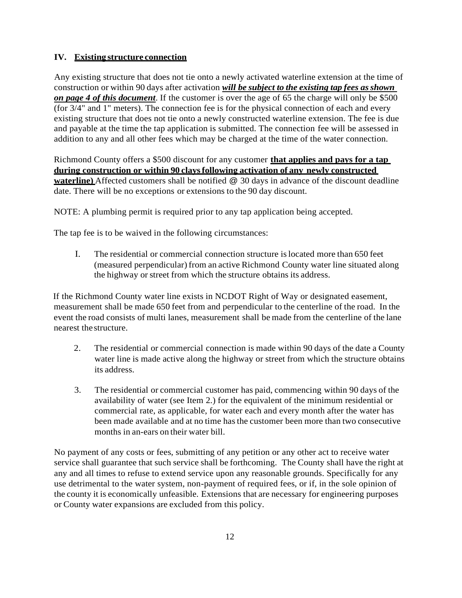#### **IV. Existing structure connection**

Any existing structure that does not tie onto a newly activated waterline extension at the time of construction or within 90 days after activation *will be subject to the existing tap fees asshown on page 4 of this document*. If the customer is over the age of 65 the charge will only be \$500 (for 3/4" and 1" meters). The connection fee is for the physical connection of each and every existing structure that does not tie onto a newly constructed waterline extension. The fee is due and payable at the time the tap application is submitted. The connection fee will be assessed in addition to any and all other fees which may be charged at the time of the water connection.

Richmond County offers a \$500 discount for any customer **that applies and pays for a tap during construction or within 90 claysfollowing activation of any newly constructed waterline**) Affected customers shall be notified @ 30 days in advance of the discount deadline date. There will be no exceptions or extensions to the 90 day discount.

NOTE: A plumbing permit is required prior to any tap application being accepted.

The tap fee is to be waived in the following circumstances:

I. The residential or commercial connection structure islocated more than 650 feet (measured perpendicular) from an active Richmond County water line situated along the highway or street from which the structure obtains its address.

If the Richmond County water line exists in NCDOT Right of Way or designated easement, measurement shall be made 650 feet from and perpendicular to the centerline of the road. In the event the road consists of multi lanes, measurement shall be made from the centerline of the lane nearest the structure.

- 2. The residential or commercial connection is made within 90 days of the date a County water line is made active along the highway or street from which the structure obtains its address.
- 3. The residential or commercial customer has paid, commencing within 90 days of the availability of water (see Item 2.) for the equivalent of the minimum residential or commercial rate, as applicable, for water each and every month after the water has been made available and at no time hasthe customer been more than two consecutive months in an-ears on their water bill.

No payment of any costs or fees, submitting of any petition or any other act to receive water service shall guarantee that such service shall be forthcoming. The County shall have the right at any and all times to refuse to extend service upon any reasonable grounds. Specifically for any use detrimental to the water system, non-payment of required fees, or if, in the sole opinion of the county it is economically unfeasible. Extensions that are necessary for engineering purposes or County water expansions are excluded from this policy.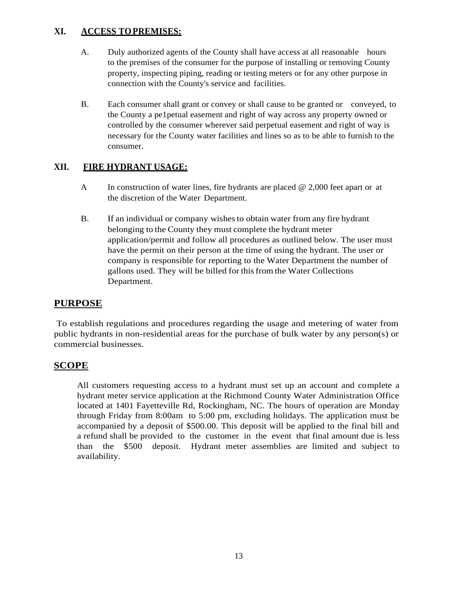# **XI. ACCESS TOPREMISES:**

- A. Duly authorized agents of the County shall have access at all reasonable hours to the premises of the consumer for the purpose of installing or removing County property, inspecting piping, reading or testing meters or for any other purpose in connection with the County's service and facilities.
- B. Each consumer shall grant or convey or shall cause to be granted or conveyed, to the County a pe1petual easement and right of way across any property owned or controlled by the consumer wherever said perpetual easement and right of way is necessary for the County water facilities and lines so as to be able to furnish to the consumer.

# **XII. FIRE HYDRANT USAGE:**

- A In construction of water lines, fire hydrants are placed @ 2,000 feet apart or at the discretion of the Water Department.
- B. If an individual or company wishes to obtain water from any fire hydrant belonging to the County they must complete the hydrant meter application/permit and follow all procedures as outlined below. The user must have the permit on their person at the time of using the hydrant. The user or company is responsible for reporting to the Water Department the number of gallons used. They will be billed for thisfrom the Water Collections Department.

# **PURPOSE**

To establish regulations and procedures regarding the usage and metering of water from public hydrants in non-residential areas for the purchase of bulk water by any person(s) or commercial businesses.

### **SCOPE**

All customers requesting access to a hydrant must set up an account and complete a hydrant meter service application at the Richmond County Water Administration Office located at 1401 Fayetteville Rd, Rockingham, NC. The hours of operation are Monday through Friday from 8:00am to 5:00 pm, excluding holidays. The application must be accompanied by a deposit of \$500.00. This deposit will be applied to the final bill and a refund shall be provided to the customer in the event that final amount due is less than the \$500 deposit. Hydrant meter assemblies are limited and subject to availability.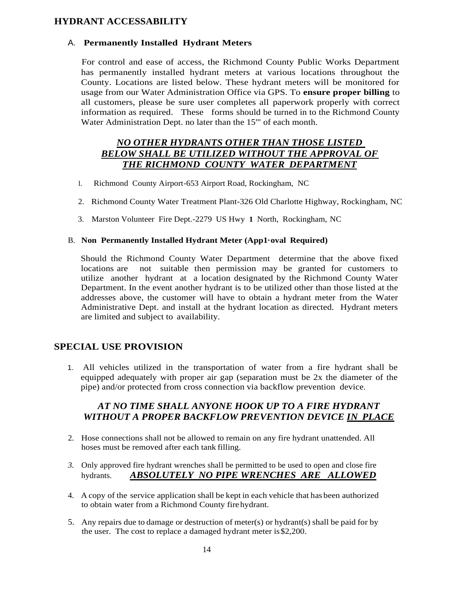#### **HYDRANT ACCESSABILITY**

#### A. **Permanently Installed Hydrant Meters**

For control and ease of access, the Richmond County Public Works Department has permanently installed hydrant meters at various locations throughout the County. Locations are listed below. These hydrant meters will be monitored for usage from our Water Administration Office via GPS. To **ensure proper billing** to all customers, please be sure user completes all paperwork properly with correct information as required. These forms should be turned in to the Richmond County Water Administration Dept. no later than the 15'" of each month.

#### *NO OTHER HYDRANTS OTHER THAN THOSE LISTED BELOW SHALL BE UTILIZED WITHOUT THE APPROVAL OF THE RICHMOND COUNTY WATER DEPARTMENT*

- l. Richmond County Airport-653 Airport Road, Rockingham, NC
- 2. Richmond County Water Treatment Plant-326 Old Charlotte Highway, Rockingham, NC
- 3. Marston Volunteer Fire Dept.-2279 US Hwy **1** North, Rockingham, NC

#### B. **Non Permanently Installed Hydrant Meter (App1·oval Required)**

Should the Richmond County Water Department determine that the above fixed locations are not suitable then permission may be granted for customers to utilize another hydrant at a location designated by the Richmond County Water Department. In the event another hydrant is to be utilized other than those listed at the addresses above, the customer will have to obtain a hydrant meter from the Water Administrative Dept. and install at the hydrant location as directed. Hydrant meters are limited and subject to availability.

### **SPECIAL USE PROVISION**

1. All vehicles utilized in the transportation of water from a fire hydrant shall be equipped adequately with proper air gap (separation must be 2x the diameter of the pipe) and/or protected from cross connection via backflow prevention device.

#### *AT NO TIME SHALL ANYONE HOOK UP TO A FIRE HYDRANT WITHOUT A PROPER BACKFLOW PREVENTION DEVICE IN PLACE*

- 2. Hose connections shall not be allowed to remain on any fire hydrant unattended. All hoses must be removed after each tank filling.
- *3.* Only approved fire hydrant wrenches shall be permitted to be used to open and close fire hydrants. *ABSOLUTELY NO PIPE WRENCHES ARE ALLOWED*
- 4. A copy of the service application shall be kept in each vehicle that has been authorized to obtain water from a Richmond County firehydrant.
- 5. Any repairs due to damage or destruction of meter(s) or hydrant(s) shall be paid for by the user. The cost to replace a damaged hydrant meter is\$2,200.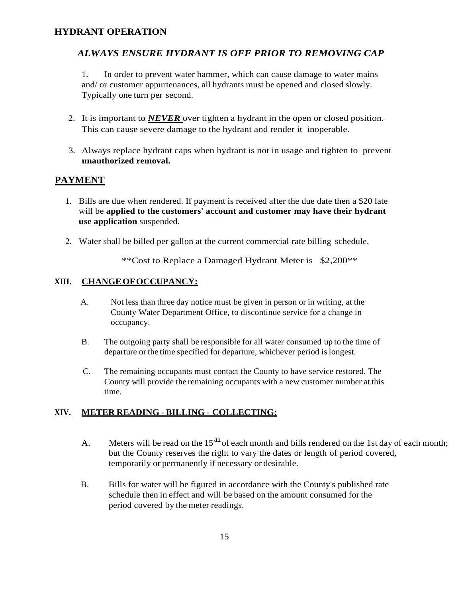#### **HYDRANT OPERATION**

#### *ALWAYS ENSURE HYDRANT IS OFF PRIOR TO REMOVING CAP*

1. In order to prevent water hammer, which can cause damage to water mains and/ or customer appurtenances, all hydrants must be opened and closed slowly. Typically one turn per second.

- 2. It is important to *NEVER* over tighten a hydrant in the open or closed position. This can cause severe damage to the hydrant and render it inoperable.
- 3. Always replace hydrant caps when hydrant is not in usage and tighten to prevent **unauthorized removal.**

#### **PAYMENT**

- 1. Bills are due when rendered. If payment is received after the due date then a \$20 late will be **applied to the customers' account and customer may have their hydrant use application** suspended.
- 2. Water shall be billed per gallon at the current commercial rate billing schedule.

\*\*Cost to Replace a Damaged Hydrant Meter is \$2,200\*\*

#### **XIII. CHANGEOFOCCUPANCY:**

- A. Not less than three day notice must be given in person or in writing, at the County Water Department Office, to discontinue service for a change in occupancy.
- B. The outgoing party shall be responsible for all water consumed up to the time of departure or the time specified for departure, whichever period islongest.
- C. The remaining occupants must contact the County to have service restored. The County will provide the remaining occupants with a new customer number at this time.

#### **XIV. METER READING -BILLING - COLLECTING:**

- A. Meters will be read on the  $15<sup>11</sup>$  of each month and bills rendered on the 1st day of each month; but the County reserves the right to vary the dates or length of period covered, temporarily or permanently if necessary or desirable.
- B. Bills for water will be figured in accordance with the County's published rate schedule then in effect and will be based on the amount consumed for the period covered by the meter readings.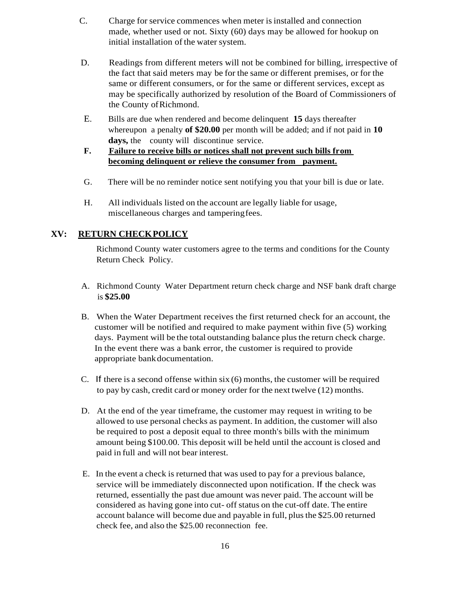- C. Charge for service commences when meter is installed and connection made, whether used or not. Sixty (60) days may be allowed for hookup on initial installation of the water system.
- D. Readings from different meters will not be combined for billing, irrespective of the fact that said meters may be for the same or different premises, or for the same or different consumers, or for the same or different services, except as may be specifically authorized by resolution of the Board of Commissioners of the County ofRichmond.
- E. Bills are due when rendered and become delinquent **15** days thereafter whereupon a penalty **of \$20.00** per month will be added; and if not paid in **10**  days, the county will discontinue service.
- **F. Failure to receive bills or notices shall not prevent such bills from becoming delinquent or relieve the consumer from payment.**
- G. There will be no reminder notice sent notifying you that your bill is due or late.
- H. All individuals listed on the account are legally liable for usage, miscellaneous charges and tamperingfees.

#### **XV: RETURN CHECKPOLICY**

Richmond County water customers agree to the terms and conditions for the County Return Check Policy.

- A. Richmond County Water Department return check charge and NSF bank draft charge is **\$25.00**
- B. When the Water Department receives the first returned check for an account, the customer will be notified and required to make payment within five (5) working days. Payment will be the total outstanding balance plus the return check charge. In the event there was a bank error, the customer is required to provide appropriate bankdocumentation.
- C. If there is a second offense within six (6) months, the customer will be required to pay by cash, credit card or money order for the next twelve (12) months.
- D. At the end of the year timeframe, the customer may request in writing to be allowed to use personal checks as payment. In addition, the customer will also be required to post a deposit equal to three month's bills with the minimum amount being \$100.00. This deposit will be held until the account is closed and paid in full and will not bear interest.
- E. In the event a check is returned that was used to pay for a previous balance, service will be immediately disconnected upon notification. If the check was returned, essentially the past due amount was never paid. The account will be considered as having gone into cut- off status on the cut-off date. The entire account balance will become due and payable in full, plusthe \$25.00 returned check fee, and also the \$25.00 reconnection fee.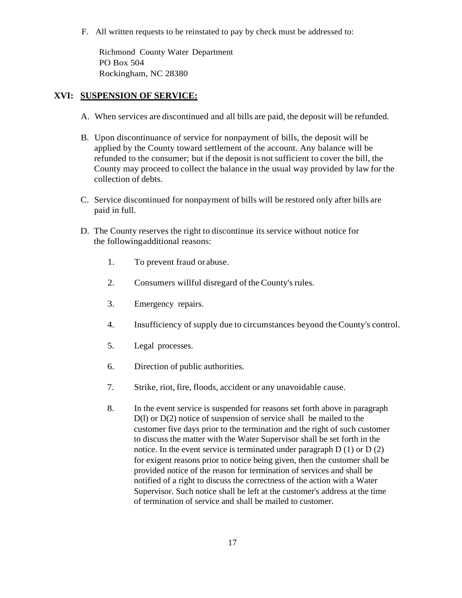F. All written requests to be reinstated to pay by check must be addressed to:

Richmond County Water Department PO Box 504 Rockingham, NC 28380

#### **XVI: SUSPENSION OF SERVICE:**

- A. When services are discontinued and all bills are paid, the deposit will be refunded.
- B. Upon discontinuance of service for nonpayment of bills, the deposit will be applied by the County toward settlement of the account. Any balance will be refunded to the consumer; but if the deposit is not sufficient to cover the bill, the County may proceed to collect the balance in the usual way provided by law for the collection of debts.
- C. Service discontinued for nonpayment of bills will be restored only after bills are paid in full.
- D. The County reserves the right to discontinue its service without notice for the followingadditional reasons:
	- 1. To prevent fraud orabuse.
	- 2. Consumers willful disregard of the County's rules.
	- 3. Emergency repairs.
	- 4. Insufficiency of supply due to circumstances beyond the County's control.
	- 5. Legal processes.
	- 6. Direction of public authorities.
	- 7. Strike, riot, fire, floods, accident or any unavoidable cause.
	- 8. In the event service is suspended for reasons set forth above in paragraph D(l) or D(2) notice of suspension of service shall be mailed to the customer five days prior to the termination and the right of such customer to discuss the matter with the Water Supervisor shall be set forth in the notice. In the event service is terminated under paragraph D (1) or D (2) for exigent reasons prior to notice being given, then the customer shall be provided notice of the reason for termination of services and shall be notified of a right to discuss the correctness of the action with a Water Supervisor. Such notice shall be left at the customer's address at the time of termination of service and shall be mailed to customer.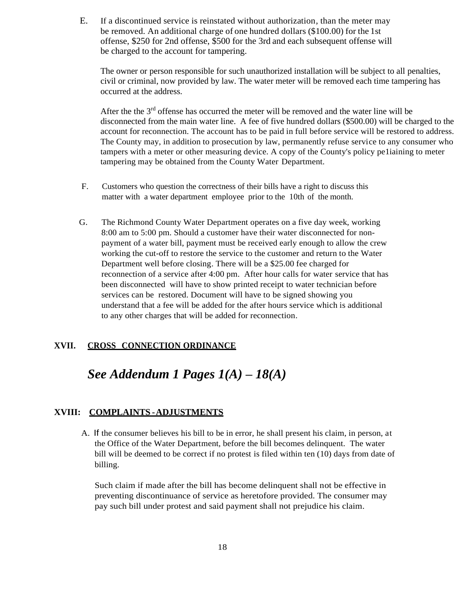E. If a discontinued service is reinstated without authorization, than the meter may be removed. An additional charge of one hundred dollars (\$100.00) for the 1st offense, \$250 for 2nd offense, \$500 for the 3rd and each subsequent offense will be charged to the account for tampering.

The owner or person responsible for such unauthorized installation will be subject to all penalties, civil or criminal, now provided by law. The water meter will be removed each time tampering has occurred at the address.

After the the  $3<sup>rd</sup>$  offense has occurred the meter will be removed and the water line will be disconnected from the main water line. A fee of five hundred dollars (\$500.00) will be charged to the account for reconnection. The account has to be paid in full before service will be restored to address. The County may, in addition to prosecution by law, permanently refuse service to any consumer who tampers with a meter or other measuring device. A copy of the County's policy pe1iaining to meter tampering may be obtained from the County Water Department.

- F. Customers who question the correctness of their bills have a right to discuss this matter with a water department employee prior to the 10th of the month.
- G. The Richmond County Water Department operates on a five day week, working 8:00 am to 5:00 pm. Should a customer have their water disconnected for nonpayment of a water bill, payment must be received early enough to allow the crew working the cut-off to restore the service to the customer and return to the Water Department well before closing. There will be a \$25.00 fee charged for reconnection of a service after 4:00 pm. After hour calls for water service that has been disconnected will have to show printed receipt to water technician before services can be restored. Document will have to be signed showing you understand that a fee will be added for the after hours service which is additional to any other charges that will be added for reconnection.

#### **XVII. CROSS CONNECTION ORDINANCE**

# *See Addendum 1 Pages 1(A) – 18(A)*

#### **XVIII: COMPLAINTS -ADJUSTMENTS**

A. If the consumer believes his bill to be in error, he shall present his claim, in person, at the Office of the Water Department, before the bill becomes delinquent. The water bill will be deemed to be correct if no protest is filed within ten (10) days from date of billing.

Such claim if made after the bill has become delinquent shall not be effective in preventing discontinuance of service as heretofore provided. The consumer may pay such bill under protest and said payment shall not prejudice his claim.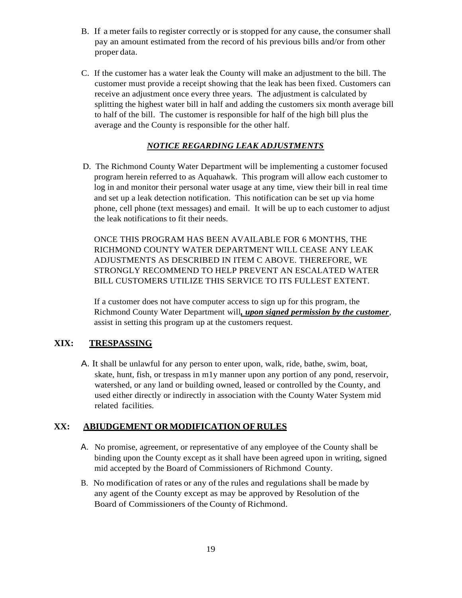- B. If a meter fails to register correctly or is stopped for any cause, the consumer shall pay an amount estimated from the record of his previous bills and/or from other proper data.
- C. If the customer has a water leak the County will make an adjustment to the bill. The customer must provide a receipt showing that the leak has been fixed. Customers can receive an adjustment once every three years. The adjustment is calculated by splitting the highest water bill in half and adding the customers six month average bill to half of the bill. The customer is responsible for half of the high bill plus the average and the County is responsible for the other half.

#### *NOTICE REGARDING LEAK ADJUSTMENTS*

 D. The Richmond County Water Department will be implementing a customer focused program herein referred to as Aquahawk. This program will allow each customer to log in and monitor their personal water usage at any time, view their bill in real time and set up a leak detection notification. This notification can be set up via home phone, cell phone (text messages) and email. It will be up to each customer to adjust the leak notifications to fit their needs.

ONCE THIS PROGRAM HAS BEEN AVAILABLE FOR 6 MONTHS, THE RICHMOND COUNTY WATER DEPARTMENT WILL CEASE ANY LEAK ADJUSTMENTS AS DESCRIBED IN ITEM C ABOVE. THEREFORE, WE STRONGLY RECOMMEND TO HELP PREVENT AN ESCALATED WATER BILL CUSTOMERS UTILIZE THIS SERVICE TO ITS FULLEST EXTENT.

If a customer does not have computer access to sign up for this program, the Richmond County Water Department will*, upon signed permission by the customer*, assist in setting this program up at the customers request.

#### **XIX: TRESPASSING**

A. It shall be unlawful for any person to enter upon, walk, ride, bathe, swim, boat, skate, hunt, fish, or trespass in m1y manner upon any portion of any pond, reservoir, watershed, or any land or building owned, leased or controlled by the County, and used either directly or indirectly in association with the County Water System mid related facilities.

#### **XX: ABIUDGEMENT OR MODIFICATION OF RULES**

- A. No promise, agreement, or representative of any employee of the County shall be binding upon the County except as it shall have been agreed upon in writing, signed mid accepted by the Board of Commissioners of Richmond County.
- B. No modification of rates or any of the rules and regulations shall be made by any agent of the County except as may be approved by Resolution of the Board of Commissioners of the County of Richmond.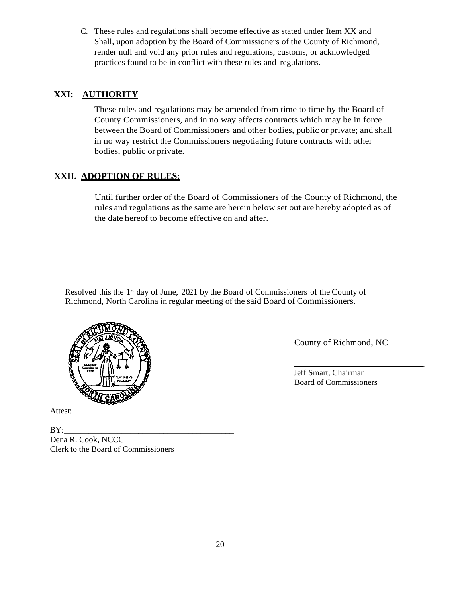C. These rules and regulations shall become effective as stated under Item XX and Shall, upon adoption by the Board of Commissioners of the County of Richmond, render null and void any prior rules and regulations, customs, or acknowledged practices found to be in conflict with these rules and regulations.

# **XXI: AUTHORITY**

These rules and regulations may be amended from time to time by the Board of County Commissioners, and in no way affects contracts which may be in force between the Board of Commissioners and other bodies, public or private; and shall in no way restrict the Commissioners negotiating future contracts with other bodies, public or private.

# **XXII. ADOPTION OF RULES:**

Until further order of the Board of Commissioners of the County of Richmond, the rules and regulations as the same are herein below set out are hereby adopted as of the date hereof to become effective on and after.

Resolved this the 1<sup>st</sup> day of June, 2021 by the Board of Commissioners of the County of Richmond, North Carolina in regular meeting of the said Board of Commissioners.



Attest:

BY:\_\_\_\_\_\_\_\_\_\_\_\_\_\_\_\_\_\_\_\_\_\_\_\_\_\_\_\_\_\_\_\_\_\_\_\_\_\_\_\_\_ Dena R. Cook, NCCC Clerk to the Board of Commissioners

County of Richmond, NC

 $\mathcal{L}$  , we have the set of  $\mathcal{L}$ Jeff Smart, Chairman Board of Commissioners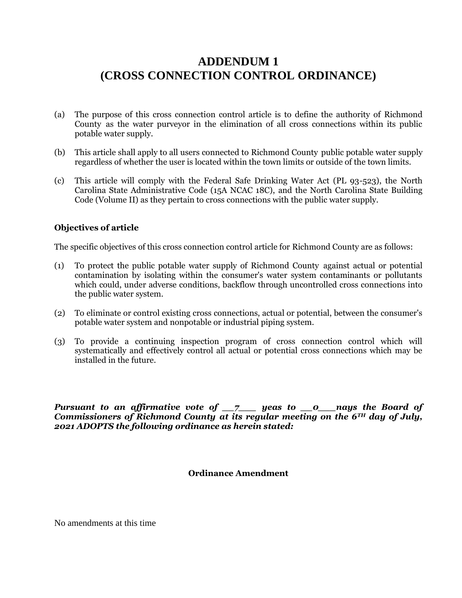# **ADDENDUM 1 (CROSS CONNECTION CONTROL ORDINANCE)**

- (a) The purpose of this cross connection control article is to define the authority of Richmond County as the water purveyor in the elimination of all cross connections within its public potable water supply.
- (b) This article shall apply to all users connected to Richmond County public potable water supply regardless of whether the user is located within the town limits or outside of the town limits.
- (c) This article will comply with the Federal Safe Drinking Water Act (PL 93-523), the North Carolina State Administrative Code (15A NCAC 18C), and the North Carolina State Building Code (Volume II) as they pertain to cross connections with the public water supply.

#### **Objectives of article**

The specific objectives of this cross connection control article for Richmond County are as follows:

- (1) To protect the public potable water supply of Richmond County against actual or potential contamination by isolating within the consumer's water system contaminants or pollutants which could, under adverse conditions, backflow through uncontrolled cross connections into the public water system.
- (2) To eliminate or control existing cross connections, actual or potential, between the consumer's potable water system and nonpotable or industrial piping system.
- (3) To provide a continuing inspection program of cross connection control which will systematically and effectively control all actual or potential cross connections which may be installed in the future.

*Pursuant to an affirmative vote of \_\_7\_\_\_ yeas to \_\_0\_\_\_nays the Board of Commissioners of Richmond County at its regular meeting on the 6TH day of July, 2021 ADOPTS the following ordinance as herein stated:*

#### **Ordinance Amendment**

No amendments at this time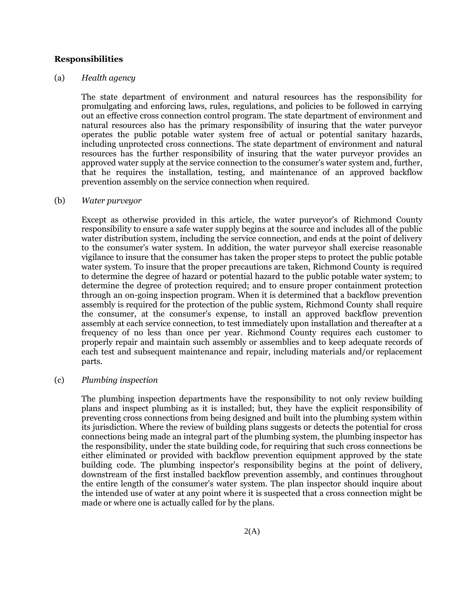#### **Responsibilities**

#### (a) *Health agency*

The state department of environment and natural resources has the responsibility for promulgating and enforcing laws, rules, regulations, and policies to be followed in carrying out an effective cross connection control program. The state department of environment and natural resources also has the primary responsibility of insuring that the water purveyor operates the public potable water system free of actual or potential sanitary hazards, including unprotected cross connections. The state department of environment and natural resources has the further responsibility of insuring that the water purveyor provides an approved water supply at the service connection to the consumer's water system and, further, that he requires the installation, testing, and maintenance of an approved backflow prevention assembly on the service connection when required.

#### (b) *Water purveyor*

Except as otherwise provided in this article, the water purveyor's of Richmond County responsibility to ensure a safe water supply begins at the source and includes all of the public water distribution system, including the service connection, and ends at the point of delivery to the consumer's water system. In addition, the water purveyor shall exercise reasonable vigilance to insure that the consumer has taken the proper steps to protect the public potable water system. To insure that the proper precautions are taken, Richmond County is required to determine the degree of hazard or potential hazard to the public potable water system; to determine the degree of protection required; and to ensure proper containment protection through an on-going inspection program. When it is determined that a backflow prevention assembly is required for the protection of the public system, Richmond County shall require the consumer, at the consumer's expense, to install an approved backflow prevention assembly at each service connection, to test immediately upon installation and thereafter at a frequency of no less than once per year. Richmond County requires each customer to properly repair and maintain such assembly or assemblies and to keep adequate records of each test and subsequent maintenance and repair, including materials and/or replacement parts.

#### (c) *Plumbing inspection*

The plumbing inspection departments have the responsibility to not only review building plans and inspect plumbing as it is installed; but, they have the explicit responsibility of preventing cross connections from being designed and built into the plumbing system within its jurisdiction. Where the review of building plans suggests or detects the potential for cross connections being made an integral part of the plumbing system, the plumbing inspector has the responsibility, under the state building code, for requiring that such cross connections be either eliminated or provided with backflow prevention equipment approved by the state building code. The plumbing inspector's responsibility begins at the point of delivery, downstream of the first installed backflow prevention assembly, and continues throughout the entire length of the consumer's water system. The plan inspector should inquire about the intended use of water at any point where it is suspected that a cross connection might be made or where one is actually called for by the plans.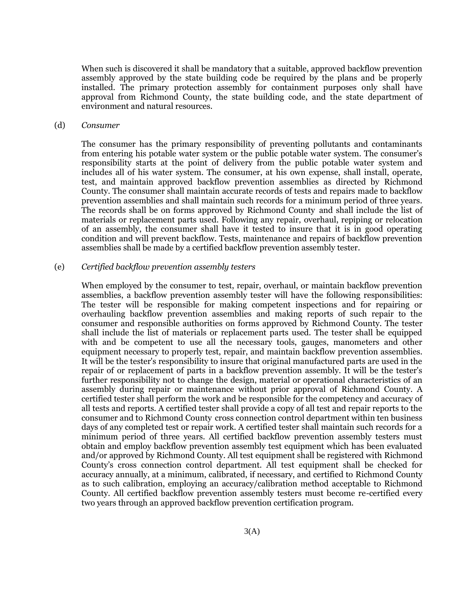When such is discovered it shall be mandatory that a suitable, approved backflow prevention assembly approved by the state building code be required by the plans and be properly installed. The primary protection assembly for containment purposes only shall have approval from Richmond County, the state building code, and the state department of environment and natural resources.

#### (d) *Consumer*

The consumer has the primary responsibility of preventing pollutants and contaminants from entering his potable water system or the public potable water system. The consumer's responsibility starts at the point of delivery from the public potable water system and includes all of his water system. The consumer, at his own expense, shall install, operate, test, and maintain approved backflow prevention assemblies as directed by Richmond County. The consumer shall maintain accurate records of tests and repairs made to backflow prevention assemblies and shall maintain such records for a minimum period of three years. The records shall be on forms approved by Richmond County and shall include the list of materials or replacement parts used. Following any repair, overhaul, repiping or relocation of an assembly, the consumer shall have it tested to insure that it is in good operating condition and will prevent backflow. Tests, maintenance and repairs of backflow prevention assemblies shall be made by a certified backflow prevention assembly tester.

#### (e) *Certified backflow prevention assembly testers*

When employed by the consumer to test, repair, overhaul, or maintain backflow prevention assemblies, a backflow prevention assembly tester will have the following responsibilities: The tester will be responsible for making competent inspections and for repairing or overhauling backflow prevention assemblies and making reports of such repair to the consumer and responsible authorities on forms approved by Richmond County. The tester shall include the list of materials or replacement parts used. The tester shall be equipped with and be competent to use all the necessary tools, gauges, manometers and other equipment necessary to properly test, repair, and maintain backflow prevention assemblies. It will be the tester's responsibility to insure that original manufactured parts are used in the repair of or replacement of parts in a backflow prevention assembly. It will be the tester's further responsibility not to change the design, material or operational characteristics of an assembly during repair or maintenance without prior approval of Richmond County. A certified tester shall perform the work and be responsible for the competency and accuracy of all tests and reports. A certified tester shall provide a copy of all test and repair reports to the consumer and to Richmond County cross connection control department within ten business days of any completed test or repair work. A certified tester shall maintain such records for a minimum period of three years. All certified backflow prevention assembly testers must obtain and employ backflow prevention assembly test equipment which has been evaluated and/or approved by Richmond County. All test equipment shall be registered with Richmond County's cross connection control department. All test equipment shall be checked for accuracy annually, at a minimum, calibrated, if necessary, and certified to Richmond County as to such calibration, employing an accuracy/calibration method acceptable to Richmond County. All certified backflow prevention assembly testers must become re-certified every two years through an approved backflow prevention certification program.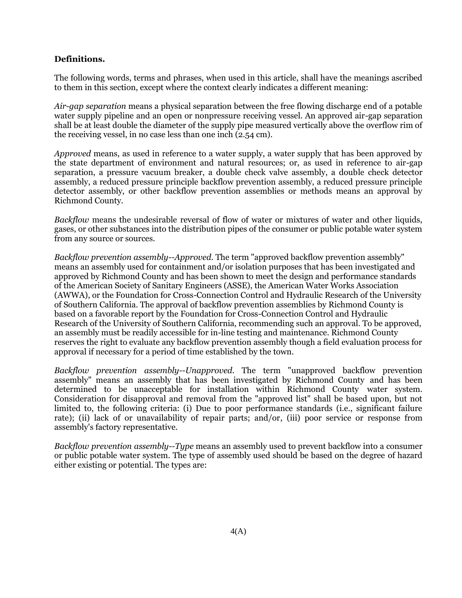#### **Definitions.**

The following words, terms and phrases, when used in this article, shall have the meanings ascribed to them in this section, except where the context clearly indicates a different meaning:

*Air-gap separation* means a physical separation between the free flowing discharge end of a potable water supply pipeline and an open or nonpressure receiving vessel. An approved air-gap separation shall be at least double the diameter of the supply pipe measured vertically above the overflow rim of the receiving vessel, in no case less than one inch (2.54 cm).

*Approved* means, as used in reference to a water supply, a water supply that has been approved by the state department of environment and natural resources; or, as used in reference to air-gap separation, a pressure vacuum breaker, a double check valve assembly, a double check detector assembly, a reduced pressure principle backflow prevention assembly, a reduced pressure principle detector assembly, or other backflow prevention assemblies or methods means an approval by Richmond County.

*Backflow* means the undesirable reversal of flow of water or mixtures of water and other liquids, gases, or other substances into the distribution pipes of the consumer or public potable water system from any source or sources.

*Backflow prevention assembly--Approved.* The term "approved backflow prevention assembly" means an assembly used for containment and/or isolation purposes that has been investigated and approved by Richmond County and has been shown to meet the design and performance standards of the American Society of Sanitary Engineers (ASSE), the American Water Works Association (AWWA), or the Foundation for Cross-Connection Control and Hydraulic Research of the University of Southern California. The approval of backflow prevention assemblies by Richmond County is based on a favorable report by the Foundation for Cross-Connection Control and Hydraulic Research of the University of Southern California, recommending such an approval. To be approved, an assembly must be readily accessible for in-line testing and maintenance. Richmond County reserves the right to evaluate any backflow prevention assembly though a field evaluation process for approval if necessary for a period of time established by the town.

*Backflow prevention assembly--Unapproved.* The term "unapproved backflow prevention assembly" means an assembly that has been investigated by Richmond County and has been determined to be unacceptable for installation within Richmond County water system. Consideration for disapproval and removal from the "approved list" shall be based upon, but not limited to, the following criteria: (i) Due to poor performance standards (i.e., significant failure rate); (ii) lack of or unavailability of repair parts; and/or, (iii) poor service or response from assembly's factory representative.

*Backflow prevention assembly--Type* means an assembly used to prevent backflow into a consumer or public potable water system. The type of assembly used should be based on the degree of hazard either existing or potential. The types are: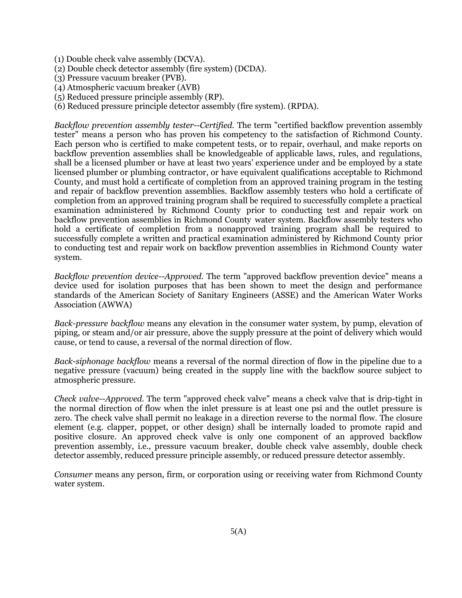- (1) Double check valve assembly (DCVA).
- (2) Double check detector assembly (fire system) (DCDA).
- (3) Pressure vacuum breaker (PVB).
- (4) Atmospheric vacuum breaker (AVB)
- (5) Reduced pressure principle assembly (RP).
- (6) Reduced pressure principle detector assembly (fire system). (RPDA).

*Backflow prevention assembly tester--Certified.* The term "certified backflow prevention assembly tester" means a person who has proven his competency to the satisfaction of Richmond County. Each person who is certified to make competent tests, or to repair, overhaul, and make reports on backflow prevention assemblies shall be knowledgeable of applicable laws, rules, and regulations, shall be a licensed plumber or have at least two years' experience under and be employed by a state licensed plumber or plumbing contractor, or have equivalent qualifications acceptable to Richmond County, and must hold a certificate of completion from an approved training program in the testing and repair of backflow prevention assemblies. Backflow assembly testers who hold a certificate of completion from an approved training program shall be required to successfully complete a practical examination administered by Richmond County prior to conducting test and repair work on backflow prevention assemblies in Richmond County water system. Backflow assembly testers who hold a certificate of completion from a nonapproved training program shall be required to successfully complete a written and practical examination administered by Richmond County prior to conducting test and repair work on backflow prevention assemblies in Richmond County water system.

*Backflow prevention device--Approved.* The term "approved backflow prevention device" means a device used for isolation purposes that has been shown to meet the design and performance standards of the American Society of Sanitary Engineers (ASSE) and the American Water Works Association (AWWA)

*Back-pressure backflow* means any elevation in the consumer water system, by pump, elevation of piping, or steam and/or air pressure, above the supply pressure at the point of delivery which would cause, or tend to cause, a reversal of the normal direction of flow.

*Back-siphonage backflow* means a reversal of the normal direction of flow in the pipeline due to a negative pressure (vacuum) being created in the supply line with the backflow source subject to atmospheric pressure.

*Check valve--Approved.* The term "approved check valve" means a check valve that is drip-tight in the normal direction of flow when the inlet pressure is at least one psi and the outlet pressure is zero. The check valve shall permit no leakage in a direction reverse to the normal flow. The closure element (e.g. clapper, poppet, or other design) shall be internally loaded to promote rapid and positive closure. An approved check valve is only one component of an approved backflow prevention assembly, i.e., pressure vacuum breaker, double check valve assembly, double check detector assembly, reduced pressure principle assembly, or reduced pressure detector assembly.

*Consumer* means any person, firm, or corporation using or receiving water from Richmond County water system.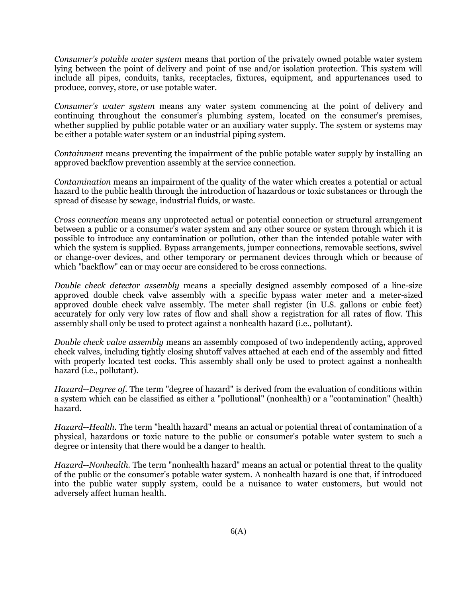*Consumer's potable water system* means that portion of the privately owned potable water system lying between the point of delivery and point of use and/or isolation protection. This system will include all pipes, conduits, tanks, receptacles, fixtures, equipment, and appurtenances used to produce, convey, store, or use potable water.

*Consumer's water system* means any water system commencing at the point of delivery and continuing throughout the consumer's plumbing system, located on the consumer's premises, whether supplied by public potable water or an auxiliary water supply. The system or systems may be either a potable water system or an industrial piping system.

*Containment* means preventing the impairment of the public potable water supply by installing an approved backflow prevention assembly at the service connection.

*Contamination* means an impairment of the quality of the water which creates a potential or actual hazard to the public health through the introduction of hazardous or toxic substances or through the spread of disease by sewage, industrial fluids, or waste.

*Cross connection* means any unprotected actual or potential connection or structural arrangement between a public or a consumer's water system and any other source or system through which it is possible to introduce any contamination or pollution, other than the intended potable water with which the system is supplied. Bypass arrangements, jumper connections, removable sections, swivel or change-over devices, and other temporary or permanent devices through which or because of which "backflow" can or may occur are considered to be cross connections.

*Double check detector assembly* means a specially designed assembly composed of a line-size approved double check valve assembly with a specific bypass water meter and a meter-sized approved double check valve assembly. The meter shall register (in U.S. gallons or cubic feet) accurately for only very low rates of flow and shall show a registration for all rates of flow. This assembly shall only be used to protect against a nonhealth hazard (i.e., pollutant).

*Double check valve assembly* means an assembly composed of two independently acting, approved check valves, including tightly closing shutoff valves attached at each end of the assembly and fitted with properly located test cocks. This assembly shall only be used to protect against a nonhealth hazard (i.e., pollutant).

*Hazard--Degree of.* The term "degree of hazard" is derived from the evaluation of conditions within a system which can be classified as either a "pollutional" (nonhealth) or a "contamination" (health) hazard.

*Hazard--Health.* The term "health hazard" means an actual or potential threat of contamination of a physical, hazardous or toxic nature to the public or consumer's potable water system to such a degree or intensity that there would be a danger to health.

*Hazard--Nonhealth.* The term "nonhealth hazard" means an actual or potential threat to the quality of the public or the consumer's potable water system. A nonhealth hazard is one that, if introduced into the public water supply system, could be a nuisance to water customers, but would not adversely affect human health.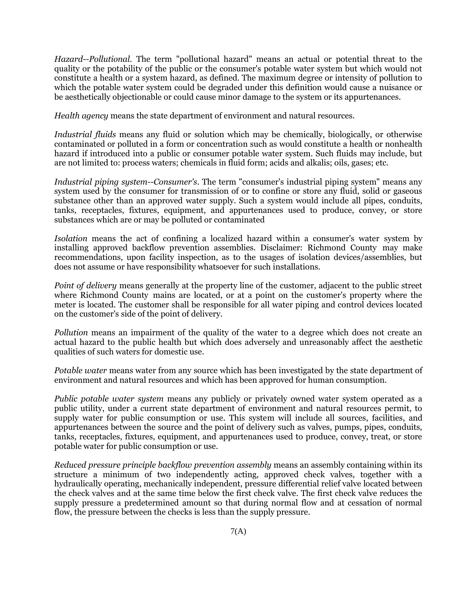*Hazard--Pollutional.* The term "pollutional hazard" means an actual or potential threat to the quality or the potability of the public or the consumer's potable water system but which would not constitute a health or a system hazard, as defined. The maximum degree or intensity of pollution to which the potable water system could be degraded under this definition would cause a nuisance or be aesthetically objectionable or could cause minor damage to the system or its appurtenances.

*Health agency* means the state department of environment and natural resources.

*Industrial fluids* means any fluid or solution which may be chemically, biologically, or otherwise contaminated or polluted in a form or concentration such as would constitute a health or nonhealth hazard if introduced into a public or consumer potable water system. Such fluids may include, but are not limited to: process waters; chemicals in fluid form; acids and alkalis; oils, gases; etc.

*Industrial piping system--Consumer's.* The term "consumer's industrial piping system" means any system used by the consumer for transmission of or to confine or store any fluid, solid or gaseous substance other than an approved water supply. Such a system would include all pipes, conduits, tanks, receptacles, fixtures, equipment, and appurtenances used to produce, convey, or store substances which are or may be polluted or contaminated

*Isolation* means the act of confining a localized hazard within a consumer's water system by installing approved backflow prevention assemblies. Disclaimer: Richmond County may make recommendations, upon facility inspection, as to the usages of isolation devices/assemblies, but does not assume or have responsibility whatsoever for such installations.

*Point of delivery* means generally at the property line of the customer, adjacent to the public street where Richmond County mains are located, or at a point on the customer's property where the meter is located. The customer shall be responsible for all water piping and control devices located on the customer's side of the point of delivery.

*Pollution* means an impairment of the quality of the water to a degree which does not create an actual hazard to the public health but which does adversely and unreasonably affect the aesthetic qualities of such waters for domestic use.

*Potable water* means water from any source which has been investigated by the state department of environment and natural resources and which has been approved for human consumption.

*Public potable water system* means any publicly or privately owned water system operated as a public utility, under a current state department of environment and natural resources permit, to supply water for public consumption or use. This system will include all sources, facilities, and appurtenances between the source and the point of delivery such as valves, pumps, pipes, conduits, tanks, receptacles, fixtures, equipment, and appurtenances used to produce, convey, treat, or store potable water for public consumption or use.

*Reduced pressure principle backflow prevention assembly* means an assembly containing within its structure a minimum of two independently acting, approved check valves, together with a hydraulically operating, mechanically independent, pressure differential relief valve located between the check valves and at the same time below the first check valve. The first check valve reduces the supply pressure a predetermined amount so that during normal flow and at cessation of normal flow, the pressure between the checks is less than the supply pressure.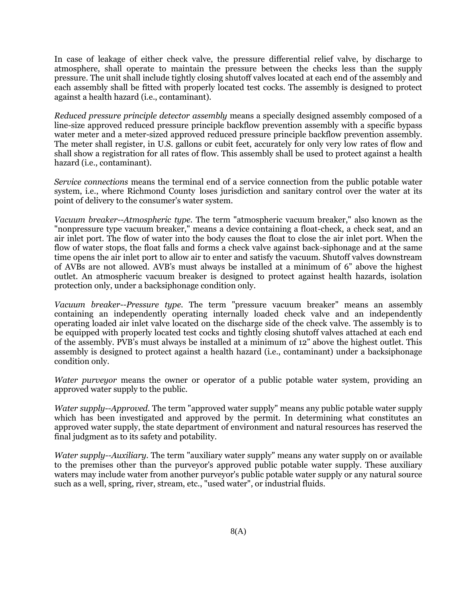In case of leakage of either check valve, the pressure differential relief valve, by discharge to atmosphere, shall operate to maintain the pressure between the checks less than the supply pressure. The unit shall include tightly closing shutoff valves located at each end of the assembly and each assembly shall be fitted with properly located test cocks. The assembly is designed to protect against a health hazard (i.e., contaminant).

*Reduced pressure principle detector assembly* means a specially designed assembly composed of a line-size approved reduced pressure principle backflow prevention assembly with a specific bypass water meter and a meter-sized approved reduced pressure principle backflow prevention assembly. The meter shall register, in U.S. gallons or cubit feet, accurately for only very low rates of flow and shall show a registration for all rates of flow. This assembly shall be used to protect against a health hazard (i.e., contaminant).

*Service connections* means the terminal end of a service connection from the public potable water system, i.e., where Richmond County loses jurisdiction and sanitary control over the water at its point of delivery to the consumer's water system.

*Vacuum breaker--Atmospheric type.* The term "atmospheric vacuum breaker," also known as the "nonpressure type vacuum breaker," means a device containing a float-check, a check seat, and an air inlet port. The flow of water into the body causes the float to close the air inlet port. When the flow of water stops, the float falls and forms a check valve against back-siphonage and at the same time opens the air inlet port to allow air to enter and satisfy the vacuum. Shutoff valves downstream of AVBs are not allowed. AVB's must always be installed at a minimum of 6" above the highest outlet. An atmospheric vacuum breaker is designed to protect against health hazards, isolation protection only, under a backsiphonage condition only.

*Vacuum breaker--Pressure type.* The term "pressure vacuum breaker" means an assembly containing an independently operating internally loaded check valve and an independently operating loaded air inlet valve located on the discharge side of the check valve. The assembly is to be equipped with properly located test cocks and tightly closing shutoff valves attached at each end of the assembly. PVB's must always be installed at a minimum of 12" above the highest outlet. This assembly is designed to protect against a health hazard (i.e., contaminant) under a backsiphonage condition only.

*Water purveyor* means the owner or operator of a public potable water system, providing an approved water supply to the public.

*Water supply--Approved.* The term "approved water supply" means any public potable water supply which has been investigated and approved by the permit. In determining what constitutes an approved water supply, the state department of environment and natural resources has reserved the final judgment as to its safety and potability.

*Water supply--Auxiliary.* The term "auxiliary water supply" means any water supply on or available to the premises other than the purveyor's approved public potable water supply. These auxiliary waters may include water from another purveyor's public potable water supply or any natural source such as a well, spring, river, stream, etc., "used water", or industrial fluids.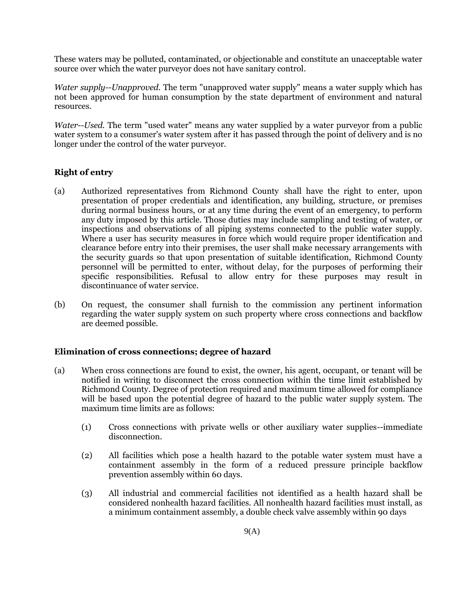These waters may be polluted, contaminated, or objectionable and constitute an unacceptable water source over which the water purveyor does not have sanitary control.

*Water supply--Unapproved.* The term "unapproved water supply" means a water supply which has not been approved for human consumption by the state department of environment and natural resources.

*Water--Used.* The term "used water" means any water supplied by a water purveyor from a public water system to a consumer's water system after it has passed through the point of delivery and is no longer under the control of the water purveyor.

### **Right of entry**

- (a) Authorized representatives from Richmond County shall have the right to enter, upon presentation of proper credentials and identification, any building, structure, or premises during normal business hours, or at any time during the event of an emergency, to perform any duty imposed by this article. Those duties may include sampling and testing of water, or inspections and observations of all piping systems connected to the public water supply. Where a user has security measures in force which would require proper identification and clearance before entry into their premises, the user shall make necessary arrangements with the security guards so that upon presentation of suitable identification, Richmond County personnel will be permitted to enter, without delay, for the purposes of performing their specific responsibilities. Refusal to allow entry for these purposes may result in discontinuance of water service.
- (b) On request, the consumer shall furnish to the commission any pertinent information regarding the water supply system on such property where cross connections and backflow are deemed possible.

#### **Elimination of cross connections; degree of hazard**

- (a) When cross connections are found to exist, the owner, his agent, occupant, or tenant will be notified in writing to disconnect the cross connection within the time limit established by Richmond County. Degree of protection required and maximum time allowed for compliance will be based upon the potential degree of hazard to the public water supply system. The maximum time limits are as follows:
	- (1) Cross connections with private wells or other auxiliary water supplies--immediate disconnection.
	- (2) All facilities which pose a health hazard to the potable water system must have a containment assembly in the form of a reduced pressure principle backflow prevention assembly within 60 days.
	- (3) All industrial and commercial facilities not identified as a health hazard shall be considered nonhealth hazard facilities. All nonhealth hazard facilities must install, as a minimum containment assembly, a double check valve assembly within 90 days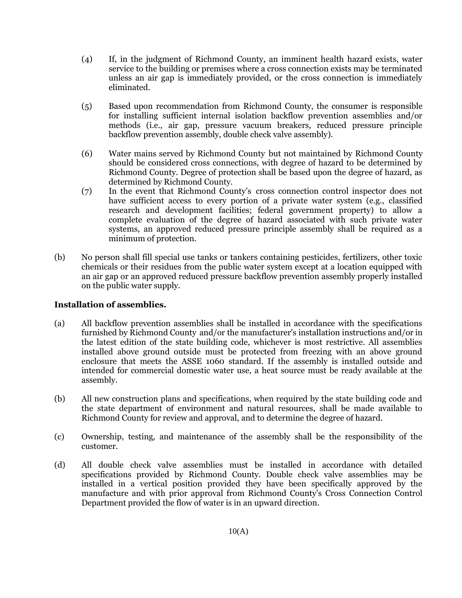- (4) If, in the judgment of Richmond County, an imminent health hazard exists, water service to the building or premises where a cross connection exists may be terminated unless an air gap is immediately provided, or the cross connection is immediately eliminated.
- (5) Based upon recommendation from Richmond County, the consumer is responsible for installing sufficient internal isolation backflow prevention assemblies and/or methods (i.e., air gap, pressure vacuum breakers, reduced pressure principle backflow prevention assembly, double check valve assembly).
- (6) Water mains served by Richmond County but not maintained by Richmond County should be considered cross connections, with degree of hazard to be determined by Richmond County. Degree of protection shall be based upon the degree of hazard, as determined by Richmond County.
- (7) In the event that Richmond County's cross connection control inspector does not have sufficient access to every portion of a private water system (e.g., classified research and development facilities; federal government property) to allow a complete evaluation of the degree of hazard associated with such private water systems, an approved reduced pressure principle assembly shall be required as a minimum of protection.
- (b) No person shall fill special use tanks or tankers containing pesticides, fertilizers, other toxic chemicals or their residues from the public water system except at a location equipped with an air gap or an approved reduced pressure backflow prevention assembly properly installed on the public water supply.

#### **Installation of assemblies.**

- (a) All backflow prevention assemblies shall be installed in accordance with the specifications furnished by Richmond County and/or the manufacturer's installation instructions and/or in the latest edition of the state building code, whichever is most restrictive. All assemblies installed above ground outside must be protected from freezing with an above ground enclosure that meets the ASSE 1060 standard. If the assembly is installed outside and intended for commercial domestic water use, a heat source must be ready available at the assembly.
- (b) All new construction plans and specifications, when required by the state building code and the state department of environment and natural resources, shall be made available to Richmond County for review and approval, and to determine the degree of hazard.
- (c) Ownership, testing, and maintenance of the assembly shall be the responsibility of the customer.
- (d) All double check valve assemblies must be installed in accordance with detailed specifications provided by Richmond County. Double check valve assemblies may be installed in a vertical position provided they have been specifically approved by the manufacture and with prior approval from Richmond County's Cross Connection Control Department provided the flow of water is in an upward direction.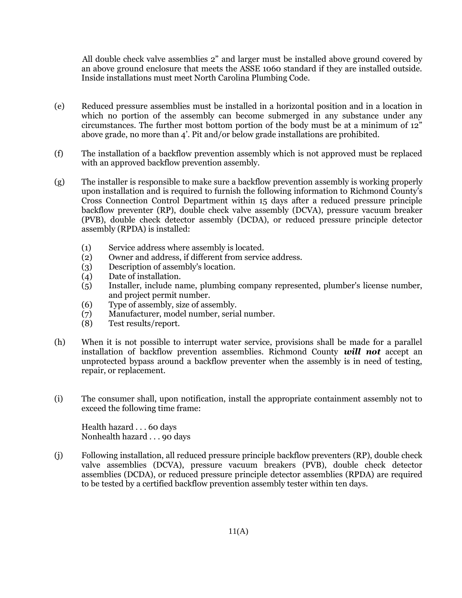All double check valve assemblies 2" and larger must be installed above ground covered by an above ground enclosure that meets the ASSE 1060 standard if they are installed outside. Inside installations must meet North Carolina Plumbing Code.

- (e) Reduced pressure assemblies must be installed in a horizontal position and in a location in which no portion of the assembly can become submerged in any substance under any circumstances. The further most bottom portion of the body must be at a minimum of 12" above grade, no more than 4'. Pit and/or below grade installations are prohibited.
- (f) The installation of a backflow prevention assembly which is not approved must be replaced with an approved backflow prevention assembly.
- (g) The installer is responsible to make sure a backflow prevention assembly is working properly upon installation and is required to furnish the following information to Richmond County's Cross Connection Control Department within 15 days after a reduced pressure principle backflow preventer (RP), double check valve assembly (DCVA), pressure vacuum breaker (PVB), double check detector assembly (DCDA), or reduced pressure principle detector assembly (RPDA) is installed:
	- (1) Service address where assembly is located.
	- (2) Owner and address, if different from service address.
	- (3) Description of assembly's location.
	- (4) Date of installation.
	- (5) Installer, include name, plumbing company represented, plumber's license number, and project permit number.
	- (6) Type of assembly, size of assembly.
	- (7) Manufacturer, model number, serial number.
	- (8) Test results/report.
- (h) When it is not possible to interrupt water service, provisions shall be made for a parallel installation of backflow prevention assemblies. Richmond County *will not* accept an unprotected bypass around a backflow preventer when the assembly is in need of testing, repair, or replacement.
- (i) The consumer shall, upon notification, install the appropriate containment assembly not to exceed the following time frame:

Health hazard . . . 60 days Nonhealth hazard . . . 90 days

(j) Following installation, all reduced pressure principle backflow preventers (RP), double check valve assemblies (DCVA), pressure vacuum breakers (PVB), double check detector assemblies (DCDA), or reduced pressure principle detector assemblies (RPDA) are required to be tested by a certified backflow prevention assembly tester within ten days.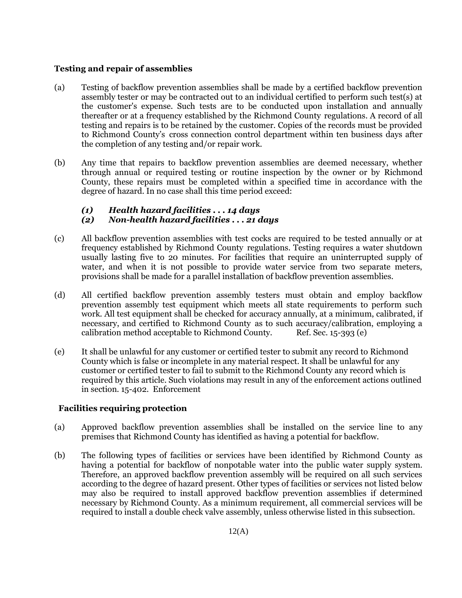#### **Testing and repair of assemblies**

- (a) Testing of backflow prevention assemblies shall be made by a certified backflow prevention assembly tester or may be contracted out to an individual certified to perform such test(s) at the customer's expense. Such tests are to be conducted upon installation and annually thereafter or at a frequency established by the Richmond County regulations. A record of all testing and repairs is to be retained by the customer. Copies of the records must be provided to Richmond County's cross connection control department within ten business days after the completion of any testing and/or repair work.
- (b) Any time that repairs to backflow prevention assemblies are deemed necessary, whether through annual or required testing or routine inspection by the owner or by Richmond County, these repairs must be completed within a specified time in accordance with the degree of hazard. In no case shall this time period exceed:

# *(1) Health hazard facilities . . . 14 days*

### *(2) Non-health hazard facilities . . . 21 days*

- (c) All backflow prevention assemblies with test cocks are required to be tested annually or at frequency established by Richmond County regulations. Testing requires a water shutdown usually lasting five to 20 minutes. For facilities that require an uninterrupted supply of water, and when it is not possible to provide water service from two separate meters, provisions shall be made for a parallel installation of backflow prevention assemblies.
- (d) All certified backflow prevention assembly testers must obtain and employ backflow prevention assembly test equipment which meets all state requirements to perform such work. All test equipment shall be checked for accuracy annually, at a minimum, calibrated, if necessary, and certified to Richmond County as to such accuracy/calibration, employing a calibration method acceptable to Richmond County. Ref. Sec. 15-393 (e)
- (e) It shall be unlawful for any customer or certified tester to submit any record to Richmond County which is false or incomplete in any material respect. It shall be unlawful for any customer or certified tester to fail to submit to the Richmond County any record which is required by this article. Such violations may result in any of the enforcement actions outlined in section. 15-402. Enforcement

### **Facilities requiring protection**

- (a) Approved backflow prevention assemblies shall be installed on the service line to any premises that Richmond County has identified as having a potential for backflow.
- (b) The following types of facilities or services have been identified by Richmond County as having a potential for backflow of nonpotable water into the public water supply system. Therefore, an approved backflow prevention assembly will be required on all such services according to the degree of hazard present. Other types of facilities or services not listed below may also be required to install approved backflow prevention assemblies if determined necessary by Richmond County. As a minimum requirement, all commercial services will be required to install a double check valve assembly, unless otherwise listed in this subsection.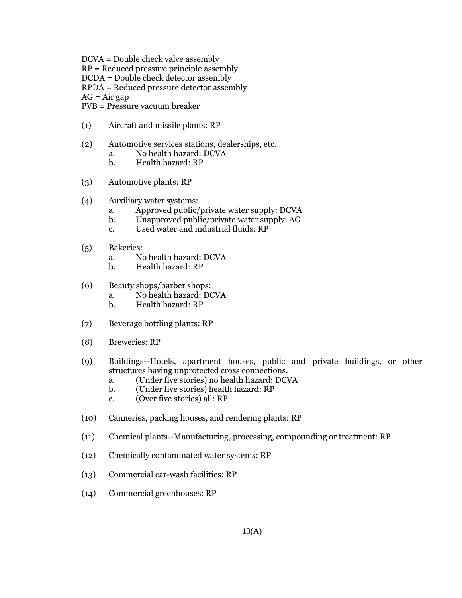DCVA = Double check valve assembly RP = Reduced pressure principle assembly DCDA = Double check detector assembly RPDA = Reduced pressure detector assembly  $AG = Air gap$ PVB = Pressure vacuum breaker

- (1) Aircraft and missile plants: RP
- (2) Automotive services stations, dealerships, etc.
	- a. No health hazard: DCVA
	- b. Health hazard: RP
- (3) Automotive plants: RP
- (4) Auxiliary water systems:
	- a. Approved public/private water supply: DCVA
	- b. Unapproved public/private water supply: AG
	- c. Used water and industrial fluids: RP
- (5) Bakeries:
	- a. No health hazard: DCVA
	- b. Health hazard: RP
- (6) Beauty shops/barber shops:
	- a. No health hazard: DCVA
	- b. Health hazard: RP
- (7) Beverage bottling plants: RP
- (8) Breweries: RP
- (9) Buildings--Hotels, apartment houses, public and private buildings, or other structures having unprotected cross connections.
	- a. (Under five stories) no health hazard: DCVA
	- b. (Under five stories) health hazard: RP
	- c. (Over five stories) all: RP
- (10) Canneries, packing houses, and rendering plants: RP
- (11) Chemical plants--Manufacturing, processing, compounding or treatment: RP
- (12) Chemically contaminated water systems: RP
- (13) Commercial car-wash facilities: RP
- (14) Commercial greenhouses: RP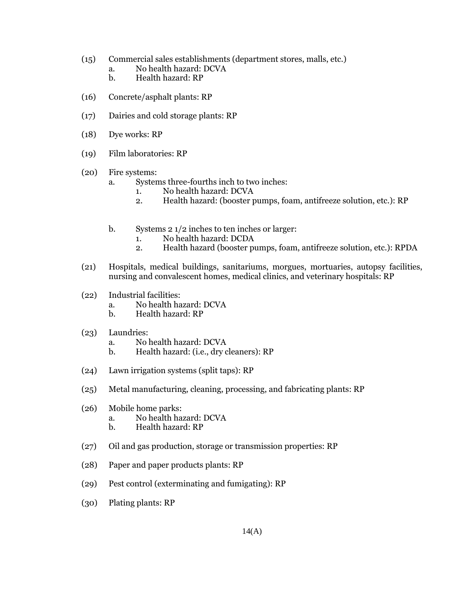- (15) Commercial sales establishments (department stores, malls, etc.)
	- a. No health hazard: DCVA
	- b. Health hazard: RP
- (16) Concrete/asphalt plants: RP
- (17) Dairies and cold storage plants: RP
- (18) Dye works: RP
- (19) Film laboratories: RP
- (20) Fire systems:
	- a. Systems three-fourths inch to two inches:
		- 1. No health hazard: DCVA
		- 2. Health hazard: (booster pumps, foam, antifreeze solution, etc.): RP
	- b. Systems 2 1/2 inches to ten inches or larger:
		- 1. No health hazard: DCDA
		- 2. Health hazard (booster pumps, foam, antifreeze solution, etc.): RPDA
- (21) Hospitals, medical buildings, sanitariums, morgues, mortuaries, autopsy facilities, nursing and convalescent homes, medical clinics, and veterinary hospitals: RP
- (22) Industrial facilities:
	- a. No health hazard: DCVA
	- b. Health hazard: RP
- (23) Laundries:
	- a. No health hazard: DCVA
	- b. Health hazard: (i.e., dry cleaners): RP
- (24) Lawn irrigation systems (split taps): RP
- (25) Metal manufacturing, cleaning, processing, and fabricating plants: RP
- (26) Mobile home parks:
	- a. No health hazard: DCVA
	- b. Health hazard: RP
- (27) Oil and gas production, storage or transmission properties: RP
- (28) Paper and paper products plants: RP
- (29) Pest control (exterminating and fumigating): RP
- (30) Plating plants: RP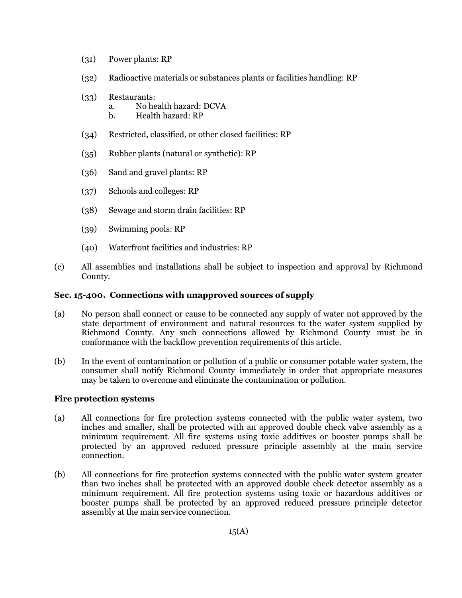- (31) Power plants: RP
- (32) Radioactive materials or substances plants or facilities handling: RP
- (33) Restaurants:
	- a. No health hazard: DCVA
	- b. Health hazard: RP
- (34) Restricted, classified, or other closed facilities: RP
- (35) Rubber plants (natural or synthetic): RP
- (36) Sand and gravel plants: RP
- (37) Schools and colleges: RP
- (38) Sewage and storm drain facilities: RP
- (39) Swimming pools: RP
- (40) Waterfront facilities and industries: RP
- (c) All assemblies and installations shall be subject to inspection and approval by Richmond County.

#### **Sec. 15-400. Connections with unapproved sources of supply**

- (a) No person shall connect or cause to be connected any supply of water not approved by the state department of environment and natural resources to the water system supplied by Richmond County. Any such connections allowed by Richmond County must be in conformance with the backflow prevention requirements of this article.
- (b) In the event of contamination or pollution of a public or consumer potable water system, the consumer shall notify Richmond County immediately in order that appropriate measures may be taken to overcome and eliminate the contamination or pollution.

#### **Fire protection systems**

- (a) All connections for fire protection systems connected with the public water system, two inches and smaller, shall be protected with an approved double check valve assembly as a minimum requirement. All fire systems using toxic additives or booster pumps shall be protected by an approved reduced pressure principle assembly at the main service connection.
- (b) All connections for fire protection systems connected with the public water system greater than two inches shall be protected with an approved double check detector assembly as a minimum requirement. All fire protection systems using toxic or hazardous additives or booster pumps shall be protected by an approved reduced pressure principle detector assembly at the main service connection.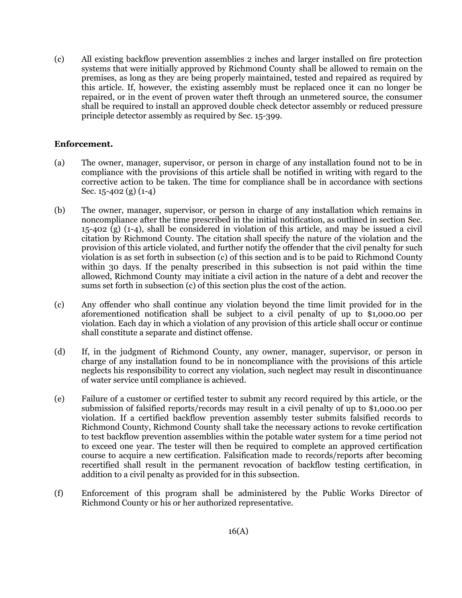(c) All existing backflow prevention assemblies 2 inches and larger installed on fire protection systems that were initially approved by Richmond County shall be allowed to remain on the premises, as long as they are being properly maintained, tested and repaired as required by this article. If, however, the existing assembly must be replaced once it can no longer be repaired, or in the event of proven water theft through an unmetered source, the consumer shall be required to install an approved double check detector assembly or reduced pressure principle detector assembly as required by Sec. 15-399.

#### **Enforcement.**

- (a) The owner, manager, supervisor, or person in charge of any installation found not to be in compliance with the provisions of this article shall be notified in writing with regard to the corrective action to be taken. The time for compliance shall be in accordance with sections Sec. 15-402 (g) (1-4)
- (b) The owner, manager, supervisor, or person in charge of any installation which remains in noncompliance after the time prescribed in the initial notification, as outlined in section Sec. 15-402 (g) (1-4), shall be considered in violation of this article, and may be issued a civil citation by Richmond County. The citation shall specify the nature of the violation and the provision of this article violated, and further notify the offender that the civil penalty for such violation is as set forth in subsection (c) of this section and is to be paid to Richmond County within 30 days. If the penalty prescribed in this subsection is not paid within the time allowed, Richmond County may initiate a civil action in the nature of a debt and recover the sums set forth in subsection (c) of this section plus the cost of the action.
- (c) Any offender who shall continue any violation beyond the time limit provided for in the aforementioned notification shall be subject to a civil penalty of up to \$1,000.00 per violation. Each day in which a violation of any provision of this article shall occur or continue shall constitute a separate and distinct offense.
- (d) If, in the judgment of Richmond County, any owner, manager, supervisor, or person in charge of any installation found to be in noncompliance with the provisions of this article neglects his responsibility to correct any violation, such neglect may result in discontinuance of water service until compliance is achieved.
- (e) Failure of a customer or certified tester to submit any record required by this article, or the submission of falsified reports/records may result in a civil penalty of up to \$1,000.00 per violation. If a certified backflow prevention assembly tester submits falsified records to Richmond County, Richmond County shall take the necessary actions to revoke certification to test backflow prevention assemblies within the potable water system for a time period not to exceed one year. The tester will then be required to complete an approved certification course to acquire a new certification. Falsification made to records/reports after becoming recertified shall result in the permanent revocation of backflow testing certification, in addition to a civil penalty as provided for in this subsection.
- (f) Enforcement of this program shall be administered by the Public Works Director of Richmond County or his or her authorized representative.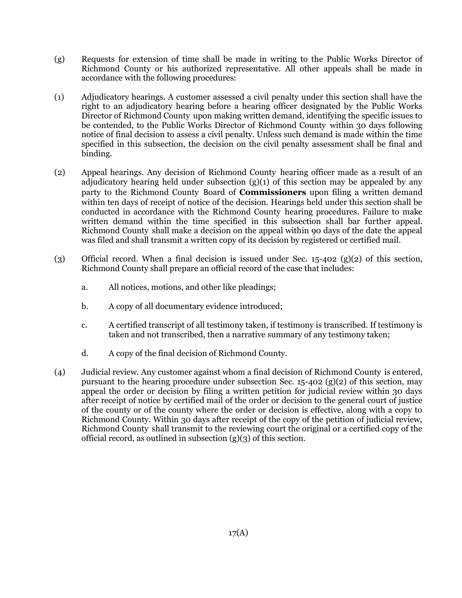- (g) Requests for extension of time shall be made in writing to the Public Works Director of Richmond County or his authorized representative. All other appeals shall be made in accordance with the following procedures:
- (1) Adjudicatory hearings. A customer assessed a civil penalty under this section shall have the right to an adjudicatory hearing before a hearing officer designated by the Public Works Director of Richmond County upon making written demand, identifying the specific issues to be contended, to the Public Works Director of Richmond County within 30 days following notice of final decision to assess a civil penalty. Unless such demand is made within the time specified in this subsection, the decision on the civil penalty assessment shall be final and binding.
- (2) Appeal hearings. Any decision of Richmond County hearing officer made as a result of an adjudicatory hearing held under subsection (g)(1) of this section may be appealed by any party to the Richmond County Board of **Commissioners** upon filing a written demand within ten days of receipt of notice of the decision. Hearings held under this section shall be conducted in accordance with the Richmond County hearing procedures. Failure to make written demand within the time specified in this subsection shall bar further appeal. Richmond County shall make a decision on the appeal within 90 days of the date the appeal was filed and shall transmit a written copy of its decision by registered or certified mail.
- (3) Official record. When a final decision is issued under Sec. 15-402 (g)(2) of this section, Richmond County shall prepare an official record of the case that includes:
	- a. All notices, motions, and other like pleadings;
	- b. A copy of all documentary evidence introduced;
	- c. A certified transcript of all testimony taken, if testimony is transcribed. If testimony is taken and not transcribed, then a narrative summary of any testimony taken;
	- d. A copy of the final decision of Richmond County.
- (4) Judicial review. Any customer against whom a final decision of Richmond County is entered, pursuant to the hearing procedure under subsection Sec. 15-402 (g)(2) of this section, may appeal the order or decision by filing a written petition for judicial review within 30 days after receipt of notice by certified mail of the order or decision to the general court of justice of the county or of the county where the order or decision is effective, along with a copy to Richmond County. Within 30 days after receipt of the copy of the petition of judicial review, Richmond County shall transmit to the reviewing court the original or a certified copy of the official record, as outlined in subsection (g)(3) of this section.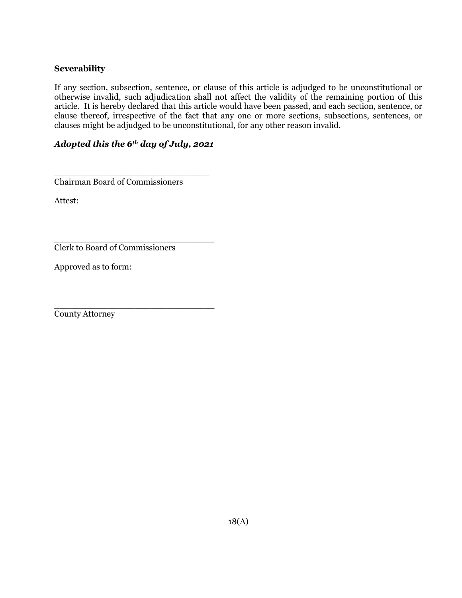#### **Severability**

If any section, subsection, sentence, or clause of this article is adjudged to be unconstitutional or otherwise invalid, such adjudication shall not affect the validity of the remaining portion of this article. It is hereby declared that this article would have been passed, and each section, sentence, or clause thereof, irrespective of the fact that any one or more sections, subsections, sentences, or clauses might be adjudged to be unconstitutional, for any other reason invalid.

### *Adopted this the 6th day of July, 2021*

\_\_\_\_\_\_\_\_\_\_\_\_\_\_\_\_\_\_\_\_\_\_\_\_\_\_\_\_\_\_

\_\_\_\_\_\_\_\_\_\_\_\_\_\_\_\_\_\_\_\_\_\_\_\_\_\_\_\_\_ Chairman Board of Commissioners

Attest:

Clerk to Board of Commissioners

Approved as to form:

\_\_\_\_\_\_\_\_\_\_\_\_\_\_\_\_\_\_\_\_\_\_\_\_\_\_\_\_\_\_ County Attorney